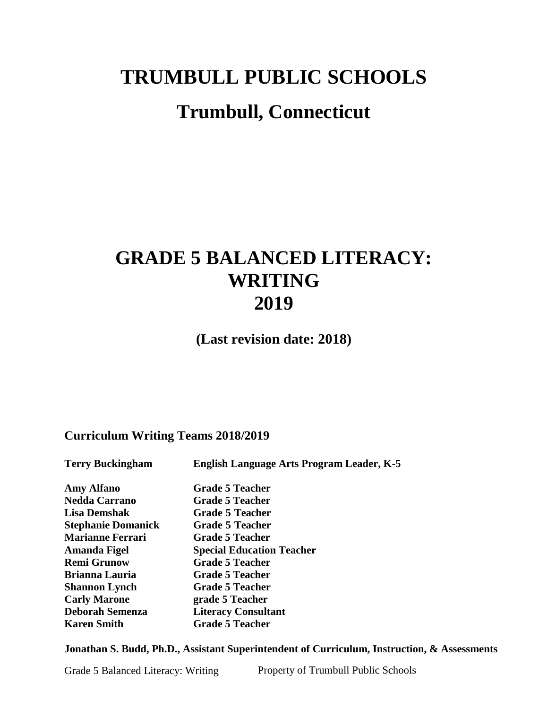# **TRUMBULL PUBLIC SCHOOLS**

# **Trumbull, Connecticut**

# **GRADE 5 BALANCED LITERACY: WRITING 2019**

**(Last revision date: 2018)**

## **Curriculum Writing Teams 2018/2019**

| <b>Terry Buckingham</b>   | <b>English Language Arts Program Leader, K-5</b> |
|---------------------------|--------------------------------------------------|
| <b>Amy Alfano</b>         | <b>Grade 5 Teacher</b>                           |
| <b>Nedda Carrano</b>      | <b>Grade 5 Teacher</b>                           |
| <b>Lisa Demshak</b>       | <b>Grade 5 Teacher</b>                           |
| <b>Stephanie Domanick</b> | <b>Grade 5 Teacher</b>                           |
| <b>Marianne Ferrari</b>   | <b>Grade 5 Teacher</b>                           |
| Amanda Figel              | <b>Special Education Teacher</b>                 |
| <b>Remi Grunow</b>        | <b>Grade 5 Teacher</b>                           |
| <b>Brianna Lauria</b>     | <b>Grade 5 Teacher</b>                           |
| <b>Shannon Lynch</b>      | <b>Grade 5 Teacher</b>                           |
| <b>Carly Marone</b>       | grade 5 Teacher                                  |
| <b>Deborah Semenza</b>    | <b>Literacy Consultant</b>                       |
| <b>Karen Smith</b>        | <b>Grade 5 Teacher</b>                           |
|                           |                                                  |

**Jonathan S. Budd, Ph.D., Assistant Superintendent of Curriculum, Instruction, & Assessments**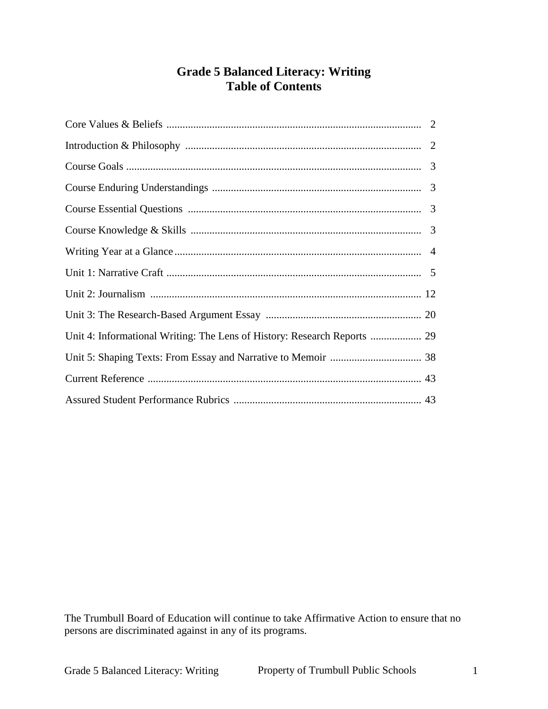# **Grade 5 Balanced Literacy: Writing Table of Contents**

| Unit 4: Informational Writing: The Lens of History: Research Reports  29 |  |
|--------------------------------------------------------------------------|--|
|                                                                          |  |
|                                                                          |  |
|                                                                          |  |

The Trumbull Board of Education will continue to take Affirmative Action to ensure that no persons are discriminated against in any of its programs.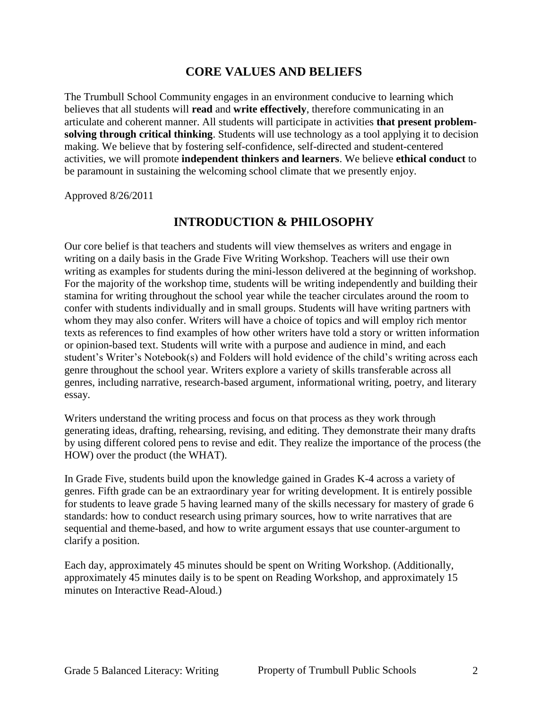## **CORE VALUES AND BELIEFS**

The Trumbull School Community engages in an environment conducive to learning which believes that all students will **read** and **write effectively**, therefore communicating in an articulate and coherent manner. All students will participate in activities **that present problemsolving through critical thinking**. Students will use technology as a tool applying it to decision making. We believe that by fostering self-confidence, self-directed and student-centered activities, we will promote **independent thinkers and learners**. We believe **ethical conduct** to be paramount in sustaining the welcoming school climate that we presently enjoy.

Approved 8/26/2011

## **INTRODUCTION & PHILOSOPHY**

Our core belief is that teachers and students will view themselves as writers and engage in writing on a daily basis in the Grade Five Writing Workshop. Teachers will use their own writing as examples for students during the mini-lesson delivered at the beginning of workshop. For the majority of the workshop time, students will be writing independently and building their stamina for writing throughout the school year while the teacher circulates around the room to confer with students individually and in small groups. Students will have writing partners with whom they may also confer. Writers will have a choice of topics and will employ rich mentor texts as references to find examples of how other writers have told a story or written information or opinion-based text. Students will write with a purpose and audience in mind, and each student's Writer's Notebook(s) and Folders will hold evidence of the child's writing across each genre throughout the school year. Writers explore a variety of skills transferable across all genres, including narrative, research-based argument, informational writing, poetry, and literary essay.

Writers understand the writing process and focus on that process as they work through generating ideas, drafting, rehearsing, revising, and editing. They demonstrate their many drafts by using different colored pens to revise and edit. They realize the importance of the process (the HOW) over the product (the WHAT).

In Grade Five, students build upon the knowledge gained in Grades K-4 across a variety of genres. Fifth grade can be an extraordinary year for writing development. It is entirely possible for students to leave grade 5 having learned many of the skills necessary for mastery of grade 6 standards: how to conduct research using primary sources, how to write narratives that are sequential and theme-based, and how to write argument essays that use counter-argument to clarify a position.

Each day, approximately 45 minutes should be spent on Writing Workshop. (Additionally, approximately 45 minutes daily is to be spent on Reading Workshop, and approximately 15 minutes on Interactive Read-Aloud.)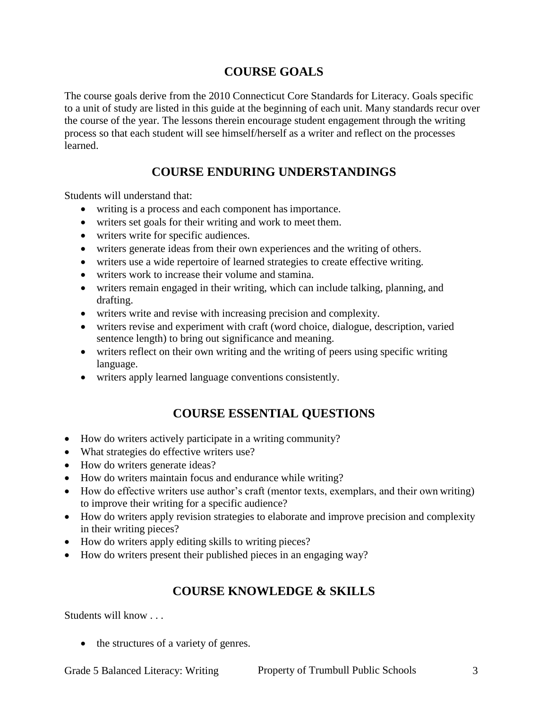# **COURSE GOALS**

The course goals derive from the 2010 Connecticut Core Standards for Literacy. Goals specific to a unit of study are listed in this guide at the beginning of each unit. Many standards recur over the course of the year. The lessons therein encourage student engagement through the writing process so that each student will see himself/herself as a writer and reflect on the processes learned.

# **COURSE ENDURING UNDERSTANDINGS**

Students will understand that:

- writing is a process and each component has importance.
- writers set goals for their writing and work to meet them.
- writers write for specific audiences.
- writers generate ideas from their own experiences and the writing of others.
- writers use a wide repertoire of learned strategies to create effective writing.
- writers work to increase their volume and stamina.
- writers remain engaged in their writing, which can include talking, planning, and drafting.
- writers write and revise with increasing precision and complexity.
- writers revise and experiment with craft (word choice, dialogue, description, varied sentence length) to bring out significance and meaning.
- writers reflect on their own writing and the writing of peers using specific writing language.
- writers apply learned language conventions consistently.

# **COURSE ESSENTIAL QUESTIONS**

- How do writers actively participate in a writing community?
- What strategies do effective writers use?
- How do writers generate ideas?
- How do writers maintain focus and endurance while writing?
- How do effective writers use author's craft (mentor texts, exemplars, and their own writing) to improve their writing for a specific audience?
- How do writers apply revision strategies to elaborate and improve precision and complexity in their writing pieces?
- How do writers apply editing skills to writing pieces?
- How do writers present their published pieces in an engaging way?

# **COURSE KNOWLEDGE & SKILLS**

Students will know . . .

• the structures of a variety of genres.

Grade 5 Balanced Literacy: Writing Property of Trumbull Public Schools 3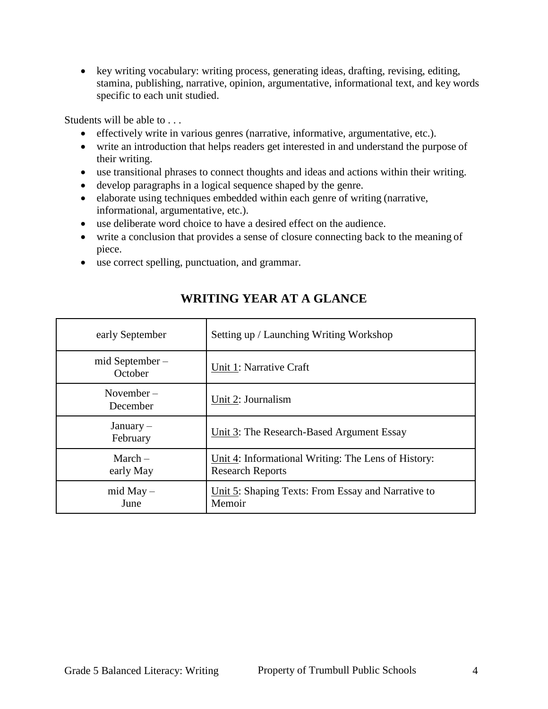• key writing vocabulary: writing process, generating ideas, drafting, revising, editing, stamina, publishing, narrative, opinion, argumentative, informational text, and key words specific to each unit studied.

Students will be able to

- effectively write in various genres (narrative, informative, argumentative, etc.).
- write an introduction that helps readers get interested in and understand the purpose of their writing.
- use transitional phrases to connect thoughts and ideas and actions within their writing.
- develop paragraphs in a logical sequence shaped by the genre.
- elaborate using techniques embedded within each genre of writing (narrative, informational, argumentative, etc.).
- use deliberate word choice to have a desired effect on the audience.
- write a conclusion that provides a sense of closure connecting back to the meaning of piece.
- use correct spelling, punctuation, and grammar.

| early September           | Setting up / Launching Writing Workshop                                        |
|---------------------------|--------------------------------------------------------------------------------|
| mid September-<br>October | Unit 1: Narrative Craft                                                        |
| November $-$<br>December  | Unit 2: Journalism                                                             |
| $January -$<br>February   | Unit 3: The Research-Based Argument Essay                                      |
| March $-$<br>early May    | Unit 4: Informational Writing: The Lens of History:<br><b>Research Reports</b> |
| $mid May -$<br>June       | Unit 5: Shaping Texts: From Essay and Narrative to<br>Memoir                   |

# **WRITING YEAR AT A GLANCE**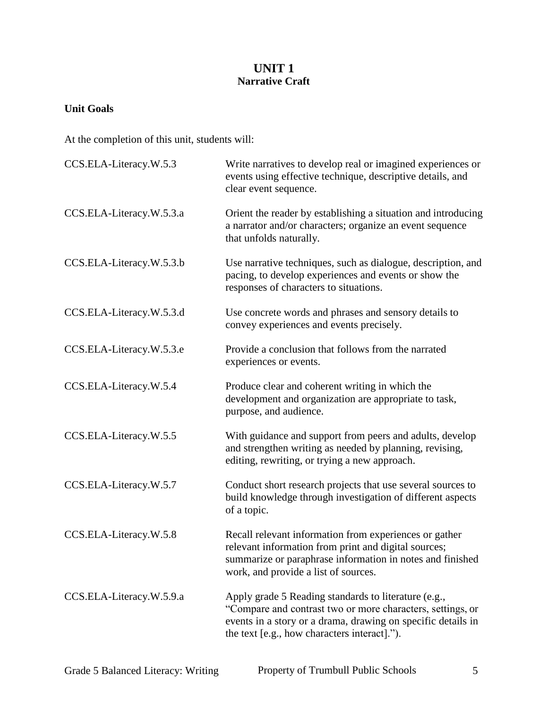## **UNIT 1 Narrative Craft**

#### **Unit Goals**

At the completion of this unit, students will:

| CCS.ELA-Literacy.W.5.3   | Write narratives to develop real or imagined experiences or<br>events using effective technique, descriptive details, and<br>clear event sequence.                                                                                 |
|--------------------------|------------------------------------------------------------------------------------------------------------------------------------------------------------------------------------------------------------------------------------|
| CCS.ELA-Literacy.W.5.3.a | Orient the reader by establishing a situation and introducing<br>a narrator and/or characters; organize an event sequence<br>that unfolds naturally.                                                                               |
| CCS.ELA-Literacy.W.5.3.b | Use narrative techniques, such as dialogue, description, and<br>pacing, to develop experiences and events or show the<br>responses of characters to situations.                                                                    |
| CCS.ELA-Literacy.W.5.3.d | Use concrete words and phrases and sensory details to<br>convey experiences and events precisely.                                                                                                                                  |
| CCS.ELA-Literacy.W.5.3.e | Provide a conclusion that follows from the narrated<br>experiences or events.                                                                                                                                                      |
| CCS.ELA-Literacy.W.5.4   | Produce clear and coherent writing in which the<br>development and organization are appropriate to task,<br>purpose, and audience.                                                                                                 |
| CCS.ELA-Literacy.W.5.5   | With guidance and support from peers and adults, develop<br>and strengthen writing as needed by planning, revising,<br>editing, rewriting, or trying a new approach.                                                               |
| CCS.ELA-Literacy.W.5.7   | Conduct short research projects that use several sources to<br>build knowledge through investigation of different aspects<br>of a topic.                                                                                           |
| CCS.ELA-Literacy.W.5.8   | Recall relevant information from experiences or gather<br>relevant information from print and digital sources;<br>summarize or paraphrase information in notes and finished<br>work, and provide a list of sources.                |
| CCS.ELA-Literacy.W.5.9.a | Apply grade 5 Reading standards to literature (e.g.,<br>"Compare and contrast two or more characters, settings, or<br>events in a story or a drama, drawing on specific details in<br>the text [e.g., how characters interact]."). |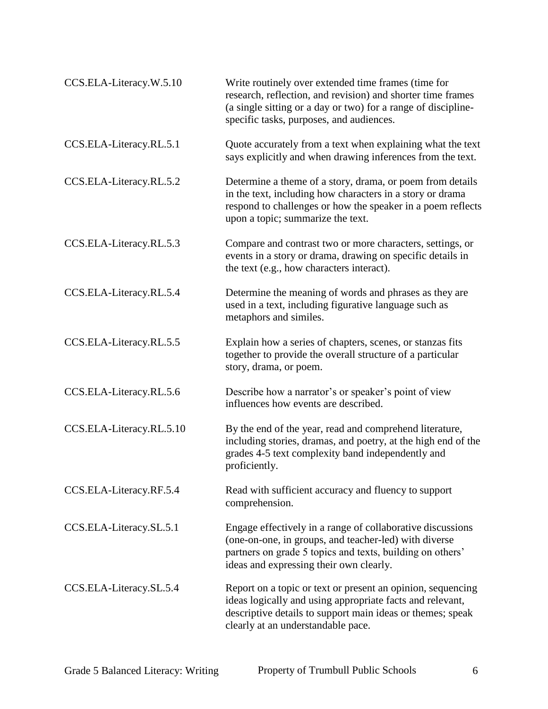| CCS.ELA-Literacy.W.5.10  | Write routinely over extended time frames (time for<br>research, reflection, and revision) and shorter time frames<br>(a single sitting or a day or two) for a range of discipline-<br>specific tasks, purposes, and audiences. |
|--------------------------|---------------------------------------------------------------------------------------------------------------------------------------------------------------------------------------------------------------------------------|
| CCS.ELA-Literacy.RL.5.1  | Quote accurately from a text when explaining what the text<br>says explicitly and when drawing inferences from the text.                                                                                                        |
| CCS.ELA-Literacy.RL.5.2  | Determine a theme of a story, drama, or poem from details<br>in the text, including how characters in a story or drama<br>respond to challenges or how the speaker in a poem reflects<br>upon a topic; summarize the text.      |
| CCS.ELA-Literacy.RL.5.3  | Compare and contrast two or more characters, settings, or<br>events in a story or drama, drawing on specific details in<br>the text (e.g., how characters interact).                                                            |
| CCS.ELA-Literacy.RL.5.4  | Determine the meaning of words and phrases as they are<br>used in a text, including figurative language such as<br>metaphors and similes.                                                                                       |
| CCS.ELA-Literacy.RL.5.5  | Explain how a series of chapters, scenes, or stanzas fits<br>together to provide the overall structure of a particular<br>story, drama, or poem.                                                                                |
| CCS.ELA-Literacy.RL.5.6  | Describe how a narrator's or speaker's point of view<br>influences how events are described.                                                                                                                                    |
| CCS.ELA-Literacy.RL.5.10 | By the end of the year, read and comprehend literature,<br>including stories, dramas, and poetry, at the high end of the<br>grades 4-5 text complexity band independently and<br>proficiently.                                  |
| CCS.ELA-Literacy.RF.5.4  | Read with sufficient accuracy and fluency to support<br>comprehension.                                                                                                                                                          |
| CCS.ELA-Literacy.SL.5.1  | Engage effectively in a range of collaborative discussions<br>(one-on-one, in groups, and teacher-led) with diverse<br>partners on grade 5 topics and texts, building on others'<br>ideas and expressing their own clearly.     |
| CCS.ELA-Literacy.SL.5.4  | Report on a topic or text or present an opinion, sequencing<br>ideas logically and using appropriate facts and relevant,<br>descriptive details to support main ideas or themes; speak<br>clearly at an understandable pace.    |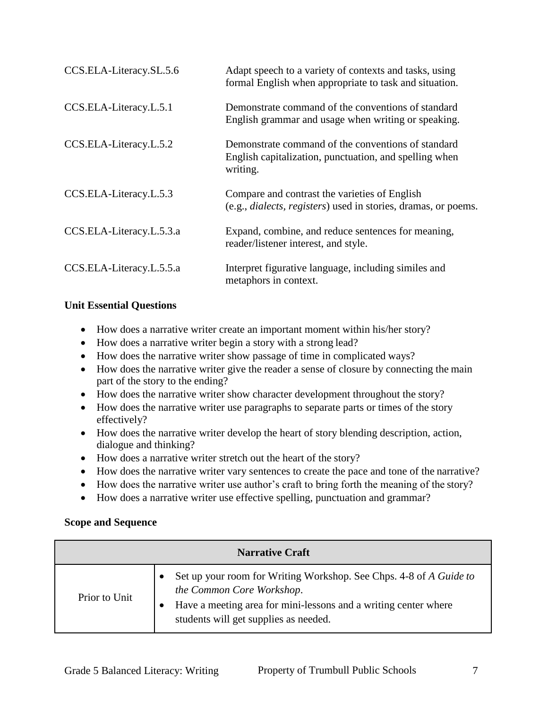| CCS.ELA-Literacy.SL.5.6  | Adapt speech to a variety of contexts and tasks, using<br>formal English when appropriate to task and situation.                |
|--------------------------|---------------------------------------------------------------------------------------------------------------------------------|
| CCS.ELA-Literacy.L.5.1   | Demonstrate command of the conventions of standard<br>English grammar and usage when writing or speaking.                       |
| CCS.ELA-Literacy.L.5.2   | Demonstrate command of the conventions of standard<br>English capitalization, punctuation, and spelling when<br>writing.        |
| CCS.ELA-Literacy.L.5.3   | Compare and contrast the varieties of English<br>(e.g., <i>dialects</i> , <i>registers</i> ) used in stories, dramas, or poems. |
| CCS.ELA-Literacy.L.5.3.a | Expand, combine, and reduce sentences for meaning,<br>reader/listener interest, and style.                                      |
| CCS.ELA-Literacy.L.5.5.a | Interpret figurative language, including similes and<br>metaphors in context.                                                   |

#### **Unit Essential Questions**

- How does a narrative writer create an important moment within his/her story?
- How does a narrative writer begin a story with a strong lead?
- How does the narrative writer show passage of time in complicated ways?
- How does the narrative writer give the reader a sense of closure by connecting the main part of the story to the ending?
- How does the narrative writer show character development throughout the story?
- How does the narrative writer use paragraphs to separate parts or times of the story effectively?
- How does the narrative writer develop the heart of story blending description, action, dialogue and thinking?
- How does a narrative writer stretch out the heart of the story?
- How does the narrative writer vary sentences to create the pace and tone of the narrative?
- How does the narrative writer use author's craft to bring forth the meaning of the story?
- How does a narrative writer use effective spelling, punctuation and grammar?

#### **Scope and Sequence**

| <b>Narrative Craft</b> |                                                                                                                                                                                                             |  |
|------------------------|-------------------------------------------------------------------------------------------------------------------------------------------------------------------------------------------------------------|--|
| Prior to Unit          | Set up your room for Writing Workshop. See Chps. 4-8 of A Guide to<br>the Common Core Workshop.<br>Have a meeting area for mini-lessons and a writing center where<br>students will get supplies as needed. |  |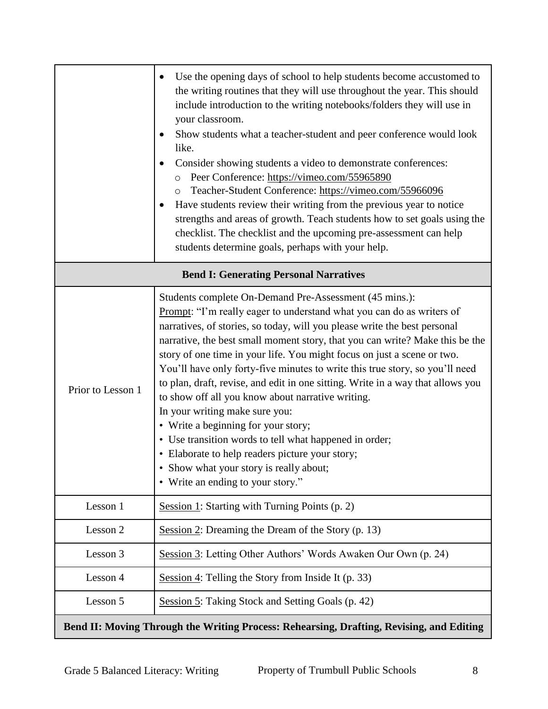|                                               | Use the opening days of school to help students become accustomed to<br>the writing routines that they will use throughout the year. This should<br>include introduction to the writing notebooks/folders they will use in<br>your classroom.<br>Show students what a teacher-student and peer conference would look<br>like.<br>Consider showing students a video to demonstrate conferences:<br>Peer Conference: https://vimeo.com/55965890<br>Teacher-Student Conference: https://vimeo.com/55966096<br>Have students review their writing from the previous year to notice<br>strengths and areas of growth. Teach students how to set goals using the<br>checklist. The checklist and the upcoming pre-assessment can help<br>students determine goals, perhaps with your help.                                                                                |  |
|-----------------------------------------------|---------------------------------------------------------------------------------------------------------------------------------------------------------------------------------------------------------------------------------------------------------------------------------------------------------------------------------------------------------------------------------------------------------------------------------------------------------------------------------------------------------------------------------------------------------------------------------------------------------------------------------------------------------------------------------------------------------------------------------------------------------------------------------------------------------------------------------------------------------------------|--|
| <b>Bend I: Generating Personal Narratives</b> |                                                                                                                                                                                                                                                                                                                                                                                                                                                                                                                                                                                                                                                                                                                                                                                                                                                                     |  |
| Prior to Lesson 1                             | Students complete On-Demand Pre-Assessment (45 mins.):<br>Prompt: "I'm really eager to understand what you can do as writers of<br>narratives, of stories, so today, will you please write the best personal<br>narrative, the best small moment story, that you can write? Make this be the<br>story of one time in your life. You might focus on just a scene or two.<br>You'll have only forty-five minutes to write this true story, so you'll need<br>to plan, draft, revise, and edit in one sitting. Write in a way that allows you<br>to show off all you know about narrative writing.<br>In your writing make sure you:<br>• Write a beginning for your story;<br>• Use transition words to tell what happened in order;<br>• Elaborate to help readers picture your story;<br>Show what your story is really about;<br>• Write an ending to your story." |  |
| Lesson 1                                      | Session 1: Starting with Turning Points (p. 2)                                                                                                                                                                                                                                                                                                                                                                                                                                                                                                                                                                                                                                                                                                                                                                                                                      |  |
| Lesson 2                                      | Session 2: Dreaming the Dream of the Story (p. 13)                                                                                                                                                                                                                                                                                                                                                                                                                                                                                                                                                                                                                                                                                                                                                                                                                  |  |
| Lesson 3                                      | Session 3: Letting Other Authors' Words Awaken Our Own (p. 24)                                                                                                                                                                                                                                                                                                                                                                                                                                                                                                                                                                                                                                                                                                                                                                                                      |  |
| Lesson 4                                      | Session 4: Telling the Story from Inside It $(p. 33)$                                                                                                                                                                                                                                                                                                                                                                                                                                                                                                                                                                                                                                                                                                                                                                                                               |  |
| Lesson 5                                      | Session 5: Taking Stock and Setting Goals (p. 42)                                                                                                                                                                                                                                                                                                                                                                                                                                                                                                                                                                                                                                                                                                                                                                                                                   |  |
|                                               | Bend II: Moving Through the Writing Process: Rehearsing, Drafting, Revising, and Editing                                                                                                                                                                                                                                                                                                                                                                                                                                                                                                                                                                                                                                                                                                                                                                            |  |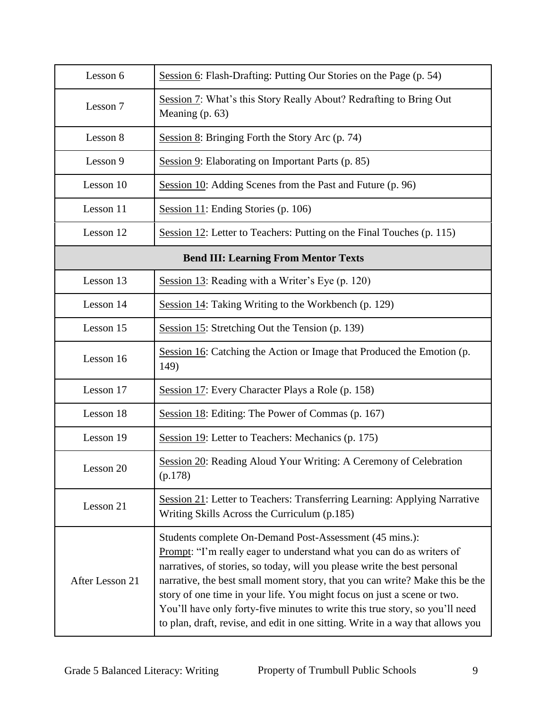| Lesson 6                                    | Session 6: Flash-Drafting: Putting Our Stories on the Page (p. 54)                                                                                                                                                                                                                                                                                                                                                                                                                                                                          |  |
|---------------------------------------------|---------------------------------------------------------------------------------------------------------------------------------------------------------------------------------------------------------------------------------------------------------------------------------------------------------------------------------------------------------------------------------------------------------------------------------------------------------------------------------------------------------------------------------------------|--|
| Lesson 7                                    | Session 7: What's this Story Really About? Redrafting to Bring Out<br>Meaning (p. 63)                                                                                                                                                                                                                                                                                                                                                                                                                                                       |  |
| Lesson 8                                    | Session $8$ : Bringing Forth the Story Arc (p. 74)                                                                                                                                                                                                                                                                                                                                                                                                                                                                                          |  |
| Lesson 9                                    | Session 9: Elaborating on Important Parts $(p. 85)$                                                                                                                                                                                                                                                                                                                                                                                                                                                                                         |  |
| Lesson 10                                   | Session 10: Adding Scenes from the Past and Future (p. 96)                                                                                                                                                                                                                                                                                                                                                                                                                                                                                  |  |
| Lesson 11                                   | Session 11: Ending Stories (p. 106)                                                                                                                                                                                                                                                                                                                                                                                                                                                                                                         |  |
| Lesson 12                                   | Session 12: Letter to Teachers: Putting on the Final Touches (p. 115)                                                                                                                                                                                                                                                                                                                                                                                                                                                                       |  |
| <b>Bend III: Learning From Mentor Texts</b> |                                                                                                                                                                                                                                                                                                                                                                                                                                                                                                                                             |  |
| Lesson 13                                   | Session 13: Reading with a Writer's Eye (p. 120)                                                                                                                                                                                                                                                                                                                                                                                                                                                                                            |  |
| Lesson 14                                   | Session 14: Taking Writing to the Workbench (p. 129)                                                                                                                                                                                                                                                                                                                                                                                                                                                                                        |  |
| Lesson 15                                   | Session 15: Stretching Out the Tension (p. 139)                                                                                                                                                                                                                                                                                                                                                                                                                                                                                             |  |
| Lesson 16                                   | Session 16: Catching the Action or Image that Produced the Emotion (p.<br>149)                                                                                                                                                                                                                                                                                                                                                                                                                                                              |  |
| Lesson 17                                   | Session 17: Every Character Plays a Role (p. 158)                                                                                                                                                                                                                                                                                                                                                                                                                                                                                           |  |
| Lesson 18                                   | Session 18: Editing: The Power of Commas (p. 167)                                                                                                                                                                                                                                                                                                                                                                                                                                                                                           |  |
| Lesson 19                                   | Session 19: Letter to Teachers: Mechanics (p. 175)                                                                                                                                                                                                                                                                                                                                                                                                                                                                                          |  |
| Lesson 20                                   | Session 20: Reading Aloud Your Writing: A Ceremony of Celebration<br>(p.178)                                                                                                                                                                                                                                                                                                                                                                                                                                                                |  |
| Lesson 21                                   | Session 21: Letter to Teachers: Transferring Learning: Applying Narrative<br>Writing Skills Across the Curriculum (p.185)                                                                                                                                                                                                                                                                                                                                                                                                                   |  |
| After Lesson 21                             | Students complete On-Demand Post-Assessment (45 mins.):<br>Prompt: "I'm really eager to understand what you can do as writers of<br>narratives, of stories, so today, will you please write the best personal<br>narrative, the best small moment story, that you can write? Make this be the<br>story of one time in your life. You might focus on just a scene or two.<br>You'll have only forty-five minutes to write this true story, so you'll need<br>to plan, draft, revise, and edit in one sitting. Write in a way that allows you |  |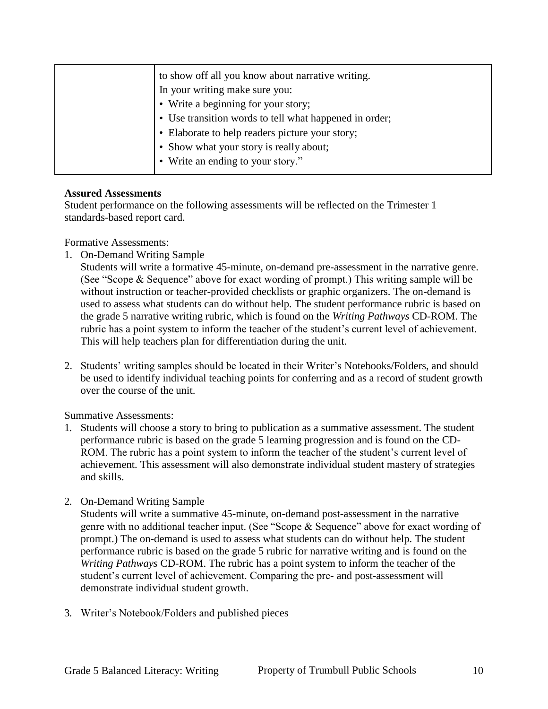| to show off all you know about narrative writing.      |
|--------------------------------------------------------|
| In your writing make sure you:                         |
| • Write a beginning for your story;                    |
| • Use transition words to tell what happened in order; |
| • Elaborate to help readers picture your story;        |
| • Show what your story is really about;                |
| • Write an ending to your story."                      |
|                                                        |

#### **Assured Assessments**

Student performance on the following assessments will be reflected on the Trimester 1 standards-based report card.

Formative Assessments:

1. On-Demand Writing Sample

Students will write a formative 45-minute, on-demand pre-assessment in the narrative genre. (See "Scope & Sequence" above for exact wording of prompt.) This writing sample will be without instruction or teacher-provided checklists or graphic organizers. The on-demand is used to assess what students can do without help. The student performance rubric is based on the grade 5 narrative writing rubric, which is found on the *Writing Pathways* CD-ROM. The rubric has a point system to inform the teacher of the student's current level of achievement. This will help teachers plan for differentiation during the unit.

2. Students' writing samples should be located in their Writer's Notebooks/Folders, and should be used to identify individual teaching points for conferring and as a record of student growth over the course of the unit.

Summative Assessments:

- 1. Students will choose a story to bring to publication as a summative assessment. The student performance rubric is based on the grade 5 learning progression and is found on the CD-ROM. The rubric has a point system to inform the teacher of the student's current level of achievement. This assessment will also demonstrate individual student mastery of strategies and skills.
- 2. On-Demand Writing Sample

Students will write a summative 45-minute, on-demand post-assessment in the narrative genre with no additional teacher input. (See "Scope & Sequence" above for exact wording of prompt.) The on-demand is used to assess what students can do without help. The student performance rubric is based on the grade 5 rubric for narrative writing and is found on the *Writing Pathways* CD-ROM. The rubric has a point system to inform the teacher of the student's current level of achievement. Comparing the pre- and post-assessment will demonstrate individual student growth.

3. Writer's Notebook/Folders and published pieces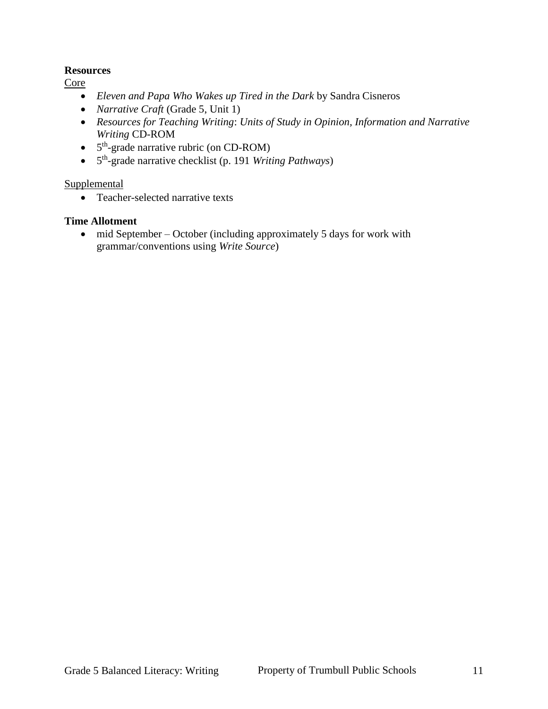#### **Resources**

Core

- *Eleven and Papa Who Wakes up Tired in the Dark* by Sandra Cisneros
- *Narrative Craft* (Grade 5, Unit 1)
- *Resources for Teaching Writing*: *Units of Study in Opinion, Information and Narrative Writing* CD-ROM
- $\bullet$  5<sup>th</sup>-grade narrative rubric (on CD-ROM)
- 5 th -grade narrative checklist (p. 191 *Writing Pathways*)

#### Supplemental

• Teacher-selected narrative texts

#### **Time Allotment**

• mid September – October (including approximately 5 days for work with grammar/conventions using *Write Source*)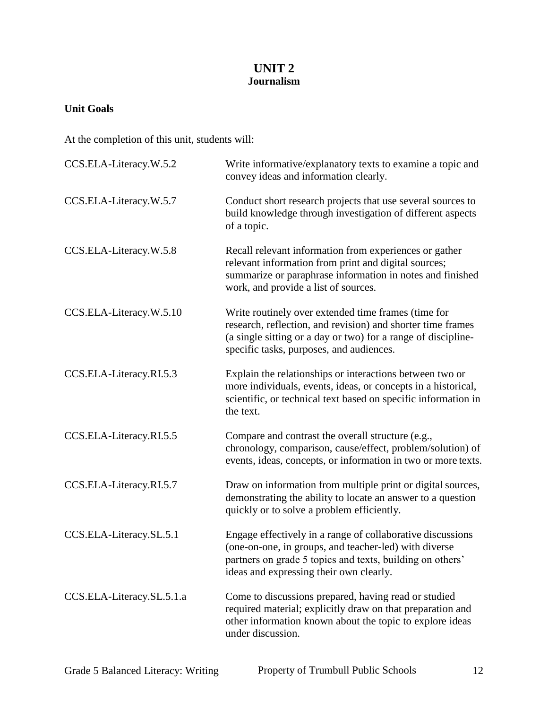## **UNIT 2 Journalism**

## **Unit Goals**

At the completion of this unit, students will:

| CCS.ELA-Literacy.W.5.2    | Write informative/explanatory texts to examine a topic and<br>convey ideas and information clearly.                                                                                                                             |
|---------------------------|---------------------------------------------------------------------------------------------------------------------------------------------------------------------------------------------------------------------------------|
| CCS.ELA-Literacy.W.5.7    | Conduct short research projects that use several sources to<br>build knowledge through investigation of different aspects<br>of a topic.                                                                                        |
| CCS.ELA-Literacy.W.5.8    | Recall relevant information from experiences or gather<br>relevant information from print and digital sources;<br>summarize or paraphrase information in notes and finished<br>work, and provide a list of sources.             |
| CCS.ELA-Literacy.W.5.10   | Write routinely over extended time frames (time for<br>research, reflection, and revision) and shorter time frames<br>(a single sitting or a day or two) for a range of discipline-<br>specific tasks, purposes, and audiences. |
| CCS.ELA-Literacy.RI.5.3   | Explain the relationships or interactions between two or<br>more individuals, events, ideas, or concepts in a historical,<br>scientific, or technical text based on specific information in<br>the text.                        |
| CCS.ELA-Literacy.RI.5.5   | Compare and contrast the overall structure (e.g.,<br>chronology, comparison, cause/effect, problem/solution) of<br>events, ideas, concepts, or information in two or more texts.                                                |
| CCS.ELA-Literacy.RI.5.7   | Draw on information from multiple print or digital sources,<br>demonstrating the ability to locate an answer to a question<br>quickly or to solve a problem efficiently.                                                        |
| CCS.ELA-Literacy.SL.5.1   | Engage effectively in a range of collaborative discussions<br>(one-on-one, in groups, and teacher-led) with diverse<br>partners on grade 5 topics and texts, building on others'<br>ideas and expressing their own clearly.     |
| CCS.ELA-Literacy.SL.5.1.a | Come to discussions prepared, having read or studied<br>required material; explicitly draw on that preparation and<br>other information known about the topic to explore ideas<br>under discussion.                             |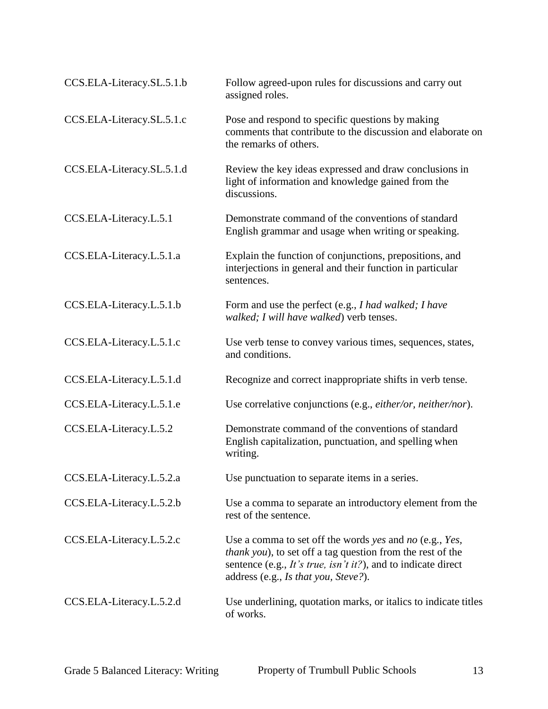| CCS.ELA-Literacy.SL.5.1.b | Follow agreed-upon rules for discussions and carry out<br>assigned roles.                                                                                                                                                              |
|---------------------------|----------------------------------------------------------------------------------------------------------------------------------------------------------------------------------------------------------------------------------------|
| CCS.ELA-Literacy.SL.5.1.c | Pose and respond to specific questions by making<br>comments that contribute to the discussion and elaborate on<br>the remarks of others.                                                                                              |
| CCS.ELA-Literacy.SL.5.1.d | Review the key ideas expressed and draw conclusions in<br>light of information and knowledge gained from the<br>discussions.                                                                                                           |
| CCS.ELA-Literacy.L.5.1    | Demonstrate command of the conventions of standard<br>English grammar and usage when writing or speaking.                                                                                                                              |
| CCS.ELA-Literacy.L.5.1.a  | Explain the function of conjunctions, prepositions, and<br>interjections in general and their function in particular<br>sentences.                                                                                                     |
| CCS.ELA-Literacy.L.5.1.b  | Form and use the perfect (e.g., I had walked; I have<br>walked; I will have walked) verb tenses.                                                                                                                                       |
| CCS.ELA-Literacy.L.5.1.c  | Use verb tense to convey various times, sequences, states,<br>and conditions.                                                                                                                                                          |
| CCS.ELA-Literacy.L.5.1.d  | Recognize and correct inappropriate shifts in verb tense.                                                                                                                                                                              |
| CCS.ELA-Literacy.L.5.1.e  | Use correlative conjunctions (e.g., either/or, neither/nor).                                                                                                                                                                           |
| CCS.ELA-Literacy.L.5.2    | Demonstrate command of the conventions of standard<br>English capitalization, punctuation, and spelling when<br>writing.                                                                                                               |
| CCS.ELA-Literacy.L.5.2.a  | Use punctuation to separate items in a series.                                                                                                                                                                                         |
| CCS.ELA-Literacy.L.5.2.b  | Use a comma to separate an introductory element from the<br>rest of the sentence.                                                                                                                                                      |
| CCS.ELA-Literacy.L.5.2.c  | Use a comma to set off the words yes and no (e.g., Yes,<br><i>thank you</i> ), to set off a tag question from the rest of the<br>sentence (e.g., It's true, isn't it?), and to indicate direct<br>address (e.g., Is that you, Steve?). |
| CCS.ELA-Literacy.L.5.2.d  | Use underlining, quotation marks, or italics to indicate titles<br>of works.                                                                                                                                                           |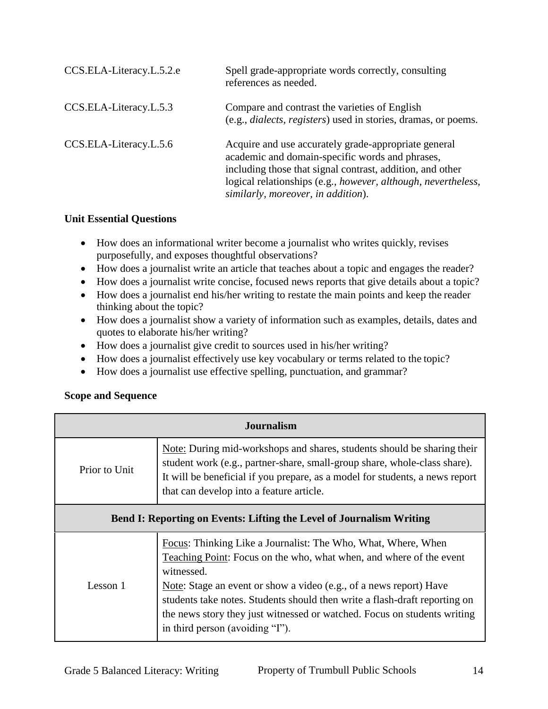| CCS.ELA-Literacy.L.5.2.e | Spell grade-appropriate words correctly, consulting<br>references as needed.                                                                                                                                                                                                |
|--------------------------|-----------------------------------------------------------------------------------------------------------------------------------------------------------------------------------------------------------------------------------------------------------------------------|
| CCS.ELA-Literacy.L.5.3   | Compare and contrast the varieties of English<br>(e.g., <i>dialects</i> , <i>registers</i> ) used in stories, dramas, or poems.                                                                                                                                             |
| CCS.ELA-Literacy.L.5.6   | Acquire and use accurately grade-appropriate general<br>academic and domain-specific words and phrases,<br>including those that signal contrast, addition, and other<br>logical relationships (e.g., however, although, nevertheless,<br>similarly, moreover, in addition). |

### **Unit Essential Questions**

- How does an informational writer become a journalist who writes quickly, revises purposefully, and exposes thoughtful observations?
- How does a journalist write an article that teaches about a topic and engages the reader?
- How does a journalist write concise, focused news reports that give details about a topic?
- How does a journalist end his/her writing to restate the main points and keep the reader thinking about the topic?
- How does a journalist show a variety of information such as examples, details, dates and quotes to elaborate his/her writing?
- How does a journalist give credit to sources used in his/her writing?
- How does a journalist effectively use key vocabulary or terms related to the topic?
- How does a journalist use effective spelling, punctuation, and grammar?

## **Scope and Sequence**

| <b>Journalism</b>                                                           |                                                                                                                                                                                                                                                                                                                                                                                                                       |  |
|-----------------------------------------------------------------------------|-----------------------------------------------------------------------------------------------------------------------------------------------------------------------------------------------------------------------------------------------------------------------------------------------------------------------------------------------------------------------------------------------------------------------|--|
| Prior to Unit                                                               | Note: During mid-workshops and shares, students should be sharing their<br>student work (e.g., partner-share, small-group share, whole-class share).<br>It will be beneficial if you prepare, as a model for students, a news report<br>that can develop into a feature article.                                                                                                                                      |  |
| <b>Bend I: Reporting on Events: Lifting the Level of Journalism Writing</b> |                                                                                                                                                                                                                                                                                                                                                                                                                       |  |
| Lesson 1                                                                    | Focus: Thinking Like a Journalist: The Who, What, Where, When<br>Teaching Point: Focus on the who, what when, and where of the event<br>witnessed.<br>Note: Stage an event or show a video (e.g., of a news report) Have<br>students take notes. Students should then write a flash-draft reporting on<br>the news story they just witnessed or watched. Focus on students writing<br>in third person (avoiding "I"). |  |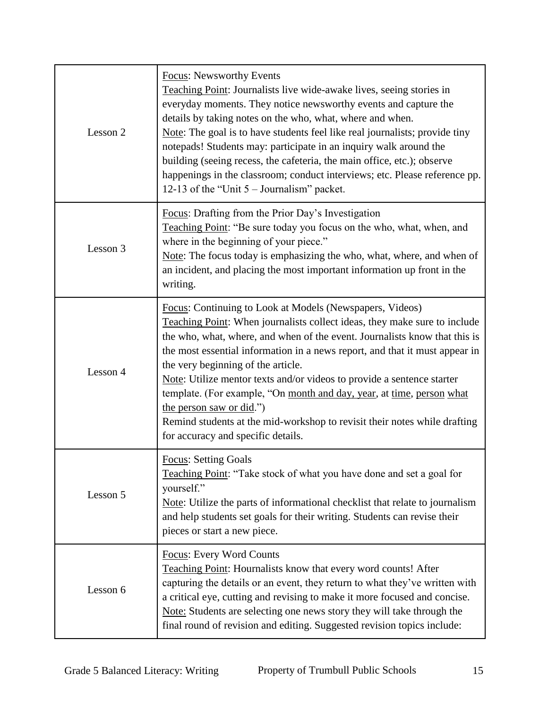| Lesson 2 | <b>Focus:</b> Newsworthy Events<br>Teaching Point: Journalists live wide-awake lives, seeing stories in<br>everyday moments. They notice newsworthy events and capture the<br>details by taking notes on the who, what, where and when.<br>Note: The goal is to have students feel like real journalists; provide tiny<br>notepads! Students may: participate in an inquiry walk around the<br>building (seeing recess, the cafeteria, the main office, etc.); observe<br>happenings in the classroom; conduct interviews; etc. Please reference pp.<br>12-13 of the "Unit $5 -$ Journalism" packet.                                       |
|----------|--------------------------------------------------------------------------------------------------------------------------------------------------------------------------------------------------------------------------------------------------------------------------------------------------------------------------------------------------------------------------------------------------------------------------------------------------------------------------------------------------------------------------------------------------------------------------------------------------------------------------------------------|
| Lesson 3 | Focus: Drafting from the Prior Day's Investigation<br>Teaching Point: "Be sure today you focus on the who, what, when, and<br>where in the beginning of your piece."<br>Note: The focus today is emphasizing the who, what, where, and when of<br>an incident, and placing the most important information up front in the<br>writing.                                                                                                                                                                                                                                                                                                      |
| Lesson 4 | Focus: Continuing to Look at Models (Newspapers, Videos)<br>Teaching Point: When journalists collect ideas, they make sure to include<br>the who, what, where, and when of the event. Journalists know that this is<br>the most essential information in a news report, and that it must appear in<br>the very beginning of the article.<br>Note: Utilize mentor texts and/or videos to provide a sentence starter<br>template. (For example, "On month and day, year, at time, person what<br>the person saw or did.")<br>Remind students at the mid-workshop to revisit their notes while drafting<br>for accuracy and specific details. |
| Lesson 5 | <b>Focus: Setting Goals</b><br>Teaching Point: "Take stock of what you have done and set a goal for<br>yourself."<br>Note: Utilize the parts of informational checklist that relate to journalism<br>and help students set goals for their writing. Students can revise their<br>pieces or start a new piece.                                                                                                                                                                                                                                                                                                                              |
| Lesson 6 | <b>Focus: Every Word Counts</b><br>Teaching Point: Hournalists know that every word counts! After<br>capturing the details or an event, they return to what they've written with<br>a critical eye, cutting and revising to make it more focused and concise.<br>Note: Students are selecting one news story they will take through the<br>final round of revision and editing. Suggested revision topics include:                                                                                                                                                                                                                         |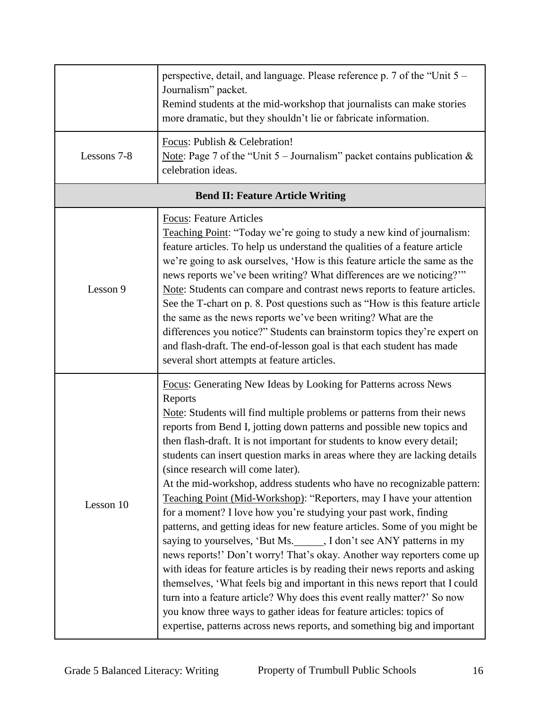|             | perspective, detail, and language. Please reference p. 7 of the "Unit 5 –<br>Journalism" packet.<br>Remind students at the mid-workshop that journalists can make stories<br>more dramatic, but they shouldn't lie or fabricate information.                                                                                                                                                                                                                                                                                                                                                                                                                                                                                                                                                                                                                                                                                                                                                                                                                                                                                                                                                                                                                                   |
|-------------|--------------------------------------------------------------------------------------------------------------------------------------------------------------------------------------------------------------------------------------------------------------------------------------------------------------------------------------------------------------------------------------------------------------------------------------------------------------------------------------------------------------------------------------------------------------------------------------------------------------------------------------------------------------------------------------------------------------------------------------------------------------------------------------------------------------------------------------------------------------------------------------------------------------------------------------------------------------------------------------------------------------------------------------------------------------------------------------------------------------------------------------------------------------------------------------------------------------------------------------------------------------------------------|
| Lessons 7-8 | Focus: Publish & Celebration!<br><u>Note</u> : Page 7 of the "Unit 5 – Journalism" packet contains publication $\&$<br>celebration ideas.                                                                                                                                                                                                                                                                                                                                                                                                                                                                                                                                                                                                                                                                                                                                                                                                                                                                                                                                                                                                                                                                                                                                      |
|             | <b>Bend II: Feature Article Writing</b>                                                                                                                                                                                                                                                                                                                                                                                                                                                                                                                                                                                                                                                                                                                                                                                                                                                                                                                                                                                                                                                                                                                                                                                                                                        |
| Lesson 9    | <b>Focus: Feature Articles</b><br>Teaching Point: "Today we're going to study a new kind of journalism:<br>feature articles. To help us understand the qualities of a feature article<br>we're going to ask ourselves, 'How is this feature article the same as the<br>news reports we've been writing? What differences are we noticing?"<br>Note: Students can compare and contrast news reports to feature articles.<br>See the T-chart on p. 8. Post questions such as "How is this feature article<br>the same as the news reports we've been writing? What are the<br>differences you notice?" Students can brainstorm topics they're expert on<br>and flash-draft. The end-of-lesson goal is that each student has made<br>several short attempts at feature articles.                                                                                                                                                                                                                                                                                                                                                                                                                                                                                                  |
| Lesson 10   | Focus: Generating New Ideas by Looking for Patterns across News<br>Reports<br>Note: Students will find multiple problems or patterns from their news<br>reports from Bend I, jotting down patterns and possible new topics and<br>then flash-draft. It is not important for students to know every detail;<br>students can insert question marks in areas where they are lacking details<br>(since research will come later).<br>At the mid-workshop, address students who have no recognizable pattern:<br>Teaching Point (Mid-Workshop): "Reporters, may I have your attention<br>for a moment? I love how you're studying your past work, finding<br>patterns, and getting ideas for new feature articles. Some of you might be<br>saying to yourselves, 'But Ms._____, I don't see ANY patterns in my<br>news reports!' Don't worry! That's okay. Another way reporters come up<br>with ideas for feature articles is by reading their news reports and asking<br>themselves, 'What feels big and important in this news report that I could<br>turn into a feature article? Why does this event really matter?' So now<br>you know three ways to gather ideas for feature articles: topics of<br>expertise, patterns across news reports, and something big and important |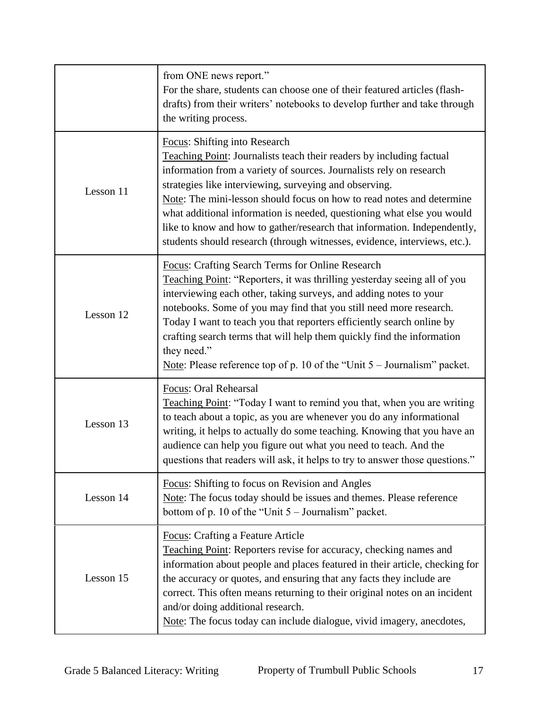|           | from ONE news report."<br>For the share, students can choose one of their featured articles (flash-<br>drafts) from their writers' notebooks to develop further and take through<br>the writing process.                                                                                                                                                                                                                                                                                                                                                  |
|-----------|-----------------------------------------------------------------------------------------------------------------------------------------------------------------------------------------------------------------------------------------------------------------------------------------------------------------------------------------------------------------------------------------------------------------------------------------------------------------------------------------------------------------------------------------------------------|
| Lesson 11 | Focus: Shifting into Research<br><b>Teaching Point:</b> Journalists teach their readers by including factual<br>information from a variety of sources. Journalists rely on research<br>strategies like interviewing, surveying and observing.<br>Note: The mini-lesson should focus on how to read notes and determine<br>what additional information is needed, questioning what else you would<br>like to know and how to gather/research that information. Independently,<br>students should research (through witnesses, evidence, interviews, etc.). |
| Lesson 12 | <b>Focus: Crafting Search Terms for Online Research</b><br>Teaching Point: "Reporters, it was thrilling yesterday seeing all of you<br>interviewing each other, taking surveys, and adding notes to your<br>notebooks. Some of you may find that you still need more research.<br>Today I want to teach you that reporters efficiently search online by<br>crafting search terms that will help them quickly find the information<br>they need."<br>Note: Please reference top of p. 10 of the "Unit $5 -$ Journalism" packet.                            |
| Lesson 13 | Focus: Oral Rehearsal<br>Teaching Point: "Today I want to remind you that, when you are writing<br>to teach about a topic, as you are whenever you do any informational<br>writing, it helps to actually do some teaching. Knowing that you have an<br>audience can help you figure out what you need to teach. And the<br>questions that readers will ask, it helps to try to answer those questions."                                                                                                                                                   |
| Lesson 14 | Focus: Shifting to focus on Revision and Angles<br>Note: The focus today should be issues and themes. Please reference<br>bottom of p. 10 of the "Unit $5 -$ Journalism" packet.                                                                                                                                                                                                                                                                                                                                                                          |
| Lesson 15 | Focus: Crafting a Feature Article<br>Teaching Point: Reporters revise for accuracy, checking names and<br>information about people and places featured in their article, checking for<br>the accuracy or quotes, and ensuring that any facts they include are<br>correct. This often means returning to their original notes on an incident<br>and/or doing additional research.<br>Note: The focus today can include dialogue, vivid imagery, anecdotes,                                                                                                 |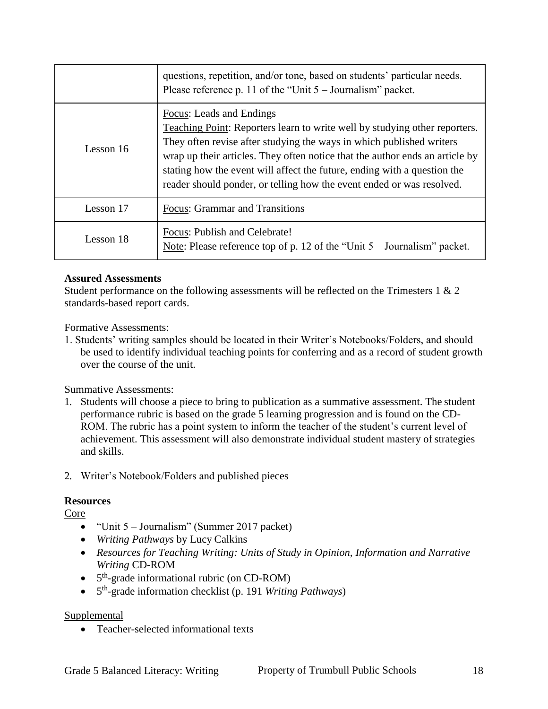|           | questions, repetition, and/or tone, based on students' particular needs.<br>Please reference p. 11 of the "Unit $5 -$ Journalism" packet.                                                                                                                                                                                                                                                                           |
|-----------|---------------------------------------------------------------------------------------------------------------------------------------------------------------------------------------------------------------------------------------------------------------------------------------------------------------------------------------------------------------------------------------------------------------------|
| Lesson 16 | Focus: Leads and Endings<br>Teaching Point: Reporters learn to write well by studying other reporters.<br>They often revise after studying the ways in which published writers<br>wrap up their articles. They often notice that the author ends an article by<br>stating how the event will affect the future, ending with a question the<br>reader should ponder, or telling how the event ended or was resolved. |
| Lesson 17 | <b>Focus: Grammar and Transitions</b>                                                                                                                                                                                                                                                                                                                                                                               |
| Lesson 18 | Focus: Publish and Celebrate!<br>Note: Please reference top of p. 12 of the "Unit $5 -$ Journalism" packet.                                                                                                                                                                                                                                                                                                         |

### **Assured Assessments**

Student performance on the following assessments will be reflected on the Trimesters 1 & 2 standards-based report cards.

Formative Assessments:

1. Students' writing samples should be located in their Writer's Notebooks/Folders, and should be used to identify individual teaching points for conferring and as a record of student growth over the course of the unit.

Summative Assessments:

- 1. Students will choose a piece to bring to publication as a summative assessment. The student performance rubric is based on the grade 5 learning progression and is found on the CD-ROM. The rubric has a point system to inform the teacher of the student's current level of achievement. This assessment will also demonstrate individual student mastery of strategies and skills.
- 2. Writer's Notebook/Folders and published pieces

### **Resources**

Core

- $\bullet$  "Unit 5 Journalism" (Summer 2017 packet)
- *Writing Pathways* by Lucy Calkins
- *Resources for Teaching Writing: Units of Study in Opinion, Information and Narrative Writing* CD-ROM
- $\bullet$  5<sup>th</sup>-grade informational rubric (on CD-ROM)
- 5 th -grade information checklist (p. 191 *Writing Pathways*)

### Supplemental

• Teacher-selected informational texts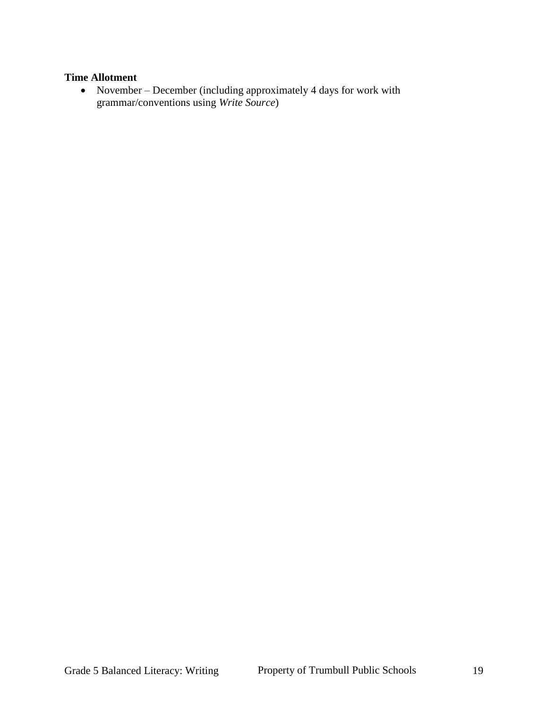#### **Time Allotment**

• November – December (including approximately 4 days for work with grammar/conventions using *Write Source*)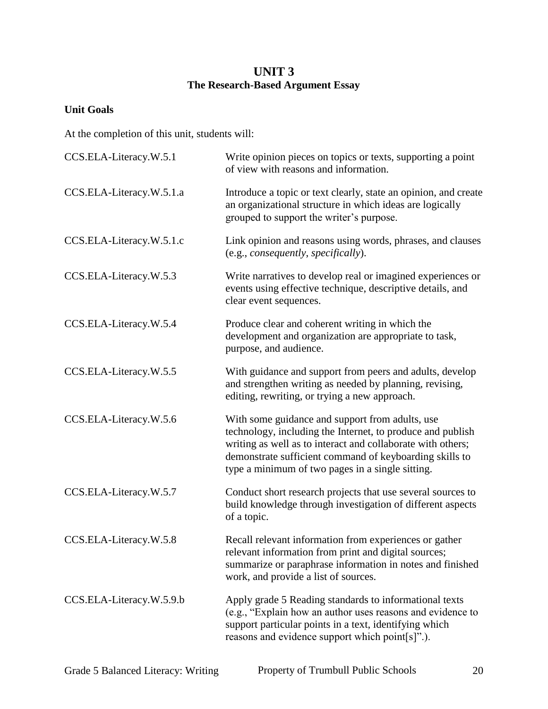## **UNIT 3 The Research-Based Argument Essay**

## **Unit Goals**

At the completion of this unit, students will:

| CCS.ELA-Literacy.W.5.1   | Write opinion pieces on topics or texts, supporting a point<br>of view with reasons and information.                                                                                                                                                                                        |
|--------------------------|---------------------------------------------------------------------------------------------------------------------------------------------------------------------------------------------------------------------------------------------------------------------------------------------|
| CCS.ELA-Literacy.W.5.1.a | Introduce a topic or text clearly, state an opinion, and create<br>an organizational structure in which ideas are logically<br>grouped to support the writer's purpose.                                                                                                                     |
| CCS.ELA-Literacy.W.5.1.c | Link opinion and reasons using words, phrases, and clauses<br>(e.g., consequently, specifically).                                                                                                                                                                                           |
| CCS.ELA-Literacy.W.5.3   | Write narratives to develop real or imagined experiences or<br>events using effective technique, descriptive details, and<br>clear event sequences.                                                                                                                                         |
| CCS.ELA-Literacy.W.5.4   | Produce clear and coherent writing in which the<br>development and organization are appropriate to task,<br>purpose, and audience.                                                                                                                                                          |
| CCS.ELA-Literacy.W.5.5   | With guidance and support from peers and adults, develop<br>and strengthen writing as needed by planning, revising,<br>editing, rewriting, or trying a new approach.                                                                                                                        |
| CCS.ELA-Literacy.W.5.6   | With some guidance and support from adults, use<br>technology, including the Internet, to produce and publish<br>writing as well as to interact and collaborate with others;<br>demonstrate sufficient command of keyboarding skills to<br>type a minimum of two pages in a single sitting. |
| CCS.ELA-Literacy.W.5.7   | Conduct short research projects that use several sources to<br>build knowledge through investigation of different aspects<br>of a topic.                                                                                                                                                    |
| CCS.ELA-Literacy.W.5.8   | Recall relevant information from experiences or gather<br>relevant information from print and digital sources;<br>summarize or paraphrase information in notes and finished<br>work, and provide a list of sources.                                                                         |
| CCS.ELA-Literacy.W.5.9.b | Apply grade 5 Reading standards to informational texts<br>(e.g., "Explain how an author uses reasons and evidence to<br>support particular points in a text, identifying which<br>reasons and evidence support which point[s]".).                                                           |
|                          |                                                                                                                                                                                                                                                                                             |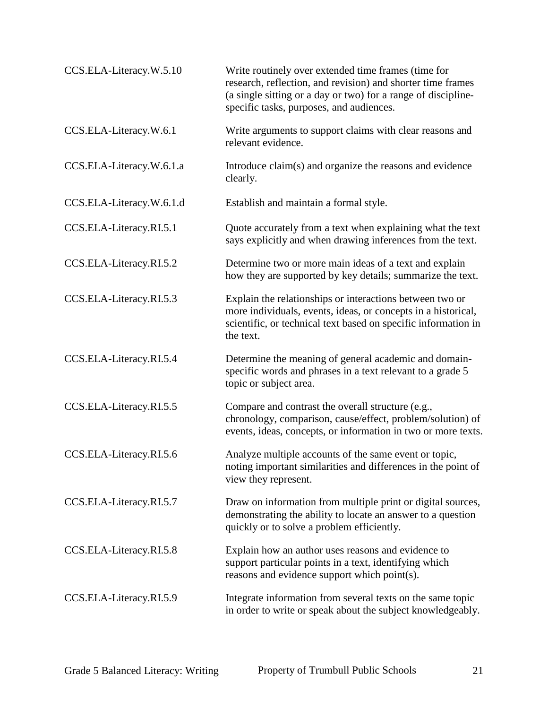| CCS.ELA-Literacy.W.5.10  | Write routinely over extended time frames (time for<br>research, reflection, and revision) and shorter time frames<br>(a single sitting or a day or two) for a range of discipline-<br>specific tasks, purposes, and audiences. |
|--------------------------|---------------------------------------------------------------------------------------------------------------------------------------------------------------------------------------------------------------------------------|
| CCS.ELA-Literacy.W.6.1   | Write arguments to support claims with clear reasons and<br>relevant evidence.                                                                                                                                                  |
| CCS.ELA-Literacy.W.6.1.a | Introduce claim(s) and organize the reasons and evidence<br>clearly.                                                                                                                                                            |
| CCS.ELA-Literacy.W.6.1.d | Establish and maintain a formal style.                                                                                                                                                                                          |
| CCS.ELA-Literacy.RI.5.1  | Quote accurately from a text when explaining what the text<br>says explicitly and when drawing inferences from the text.                                                                                                        |
| CCS.ELA-Literacy.RI.5.2  | Determine two or more main ideas of a text and explain<br>how they are supported by key details; summarize the text.                                                                                                            |
| CCS.ELA-Literacy.RI.5.3  | Explain the relationships or interactions between two or<br>more individuals, events, ideas, or concepts in a historical,<br>scientific, or technical text based on specific information in<br>the text.                        |
| CCS.ELA-Literacy.RI.5.4  | Determine the meaning of general academic and domain-<br>specific words and phrases in a text relevant to a grade 5<br>topic or subject area.                                                                                   |
| CCS.ELA-Literacy.RI.5.5  | Compare and contrast the overall structure (e.g.,<br>chronology, comparison, cause/effect, problem/solution) of<br>events, ideas, concepts, or information in two or more texts.                                                |
| CCS.ELA-Literacy.RI.5.6  | Analyze multiple accounts of the same event or topic,<br>noting important similarities and differences in the point of<br>view they represent.                                                                                  |
| CCS.ELA-Literacy.RI.5.7  | Draw on information from multiple print or digital sources,<br>demonstrating the ability to locate an answer to a question<br>quickly or to solve a problem efficiently.                                                        |
| CCS.ELA-Literacy.RI.5.8  | Explain how an author uses reasons and evidence to<br>support particular points in a text, identifying which<br>reasons and evidence support which point(s).                                                                    |
| CCS.ELA-Literacy.RI.5.9  | Integrate information from several texts on the same topic<br>in order to write or speak about the subject knowledgeably.                                                                                                       |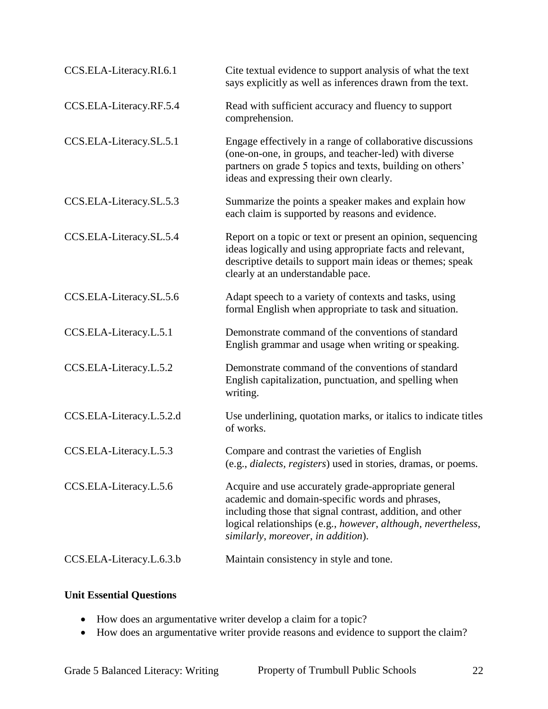| CCS.ELA-Literacy.RI.6.1  | Cite textual evidence to support analysis of what the text<br>says explicitly as well as inferences drawn from the text.                                                                                                                                                    |
|--------------------------|-----------------------------------------------------------------------------------------------------------------------------------------------------------------------------------------------------------------------------------------------------------------------------|
| CCS.ELA-Literacy.RF.5.4  | Read with sufficient accuracy and fluency to support<br>comprehension.                                                                                                                                                                                                      |
| CCS.ELA-Literacy.SL.5.1  | Engage effectively in a range of collaborative discussions<br>(one-on-one, in groups, and teacher-led) with diverse<br>partners on grade 5 topics and texts, building on others'<br>ideas and expressing their own clearly.                                                 |
| CCS.ELA-Literacy.SL.5.3  | Summarize the points a speaker makes and explain how<br>each claim is supported by reasons and evidence.                                                                                                                                                                    |
| CCS.ELA-Literacy.SL.5.4  | Report on a topic or text or present an opinion, sequencing<br>ideas logically and using appropriate facts and relevant,<br>descriptive details to support main ideas or themes; speak<br>clearly at an understandable pace.                                                |
| CCS.ELA-Literacy.SL.5.6  | Adapt speech to a variety of contexts and tasks, using<br>formal English when appropriate to task and situation.                                                                                                                                                            |
| CCS.ELA-Literacy.L.5.1   | Demonstrate command of the conventions of standard<br>English grammar and usage when writing or speaking.                                                                                                                                                                   |
| CCS.ELA-Literacy.L.5.2   | Demonstrate command of the conventions of standard<br>English capitalization, punctuation, and spelling when<br>writing.                                                                                                                                                    |
| CCS.ELA-Literacy.L.5.2.d | Use underlining, quotation marks, or italics to indicate titles<br>of works.                                                                                                                                                                                                |
| CCS.ELA-Literacy.L.5.3   | Compare and contrast the varieties of English<br>(e.g., dialects, registers) used in stories, dramas, or poems.                                                                                                                                                             |
| CCS.ELA-Literacy.L.5.6   | Acquire and use accurately grade-appropriate general<br>academic and domain-specific words and phrases,<br>including those that signal contrast, addition, and other<br>logical relationships (e.g., however, although, nevertheless,<br>similarly, moreover, in addition). |
| CCS.ELA-Literacy.L.6.3.b | Maintain consistency in style and tone.                                                                                                                                                                                                                                     |

## **Unit Essential Questions**

- How does an argumentative writer develop a claim for a topic?
- How does an argumentative writer provide reasons and evidence to support the claim?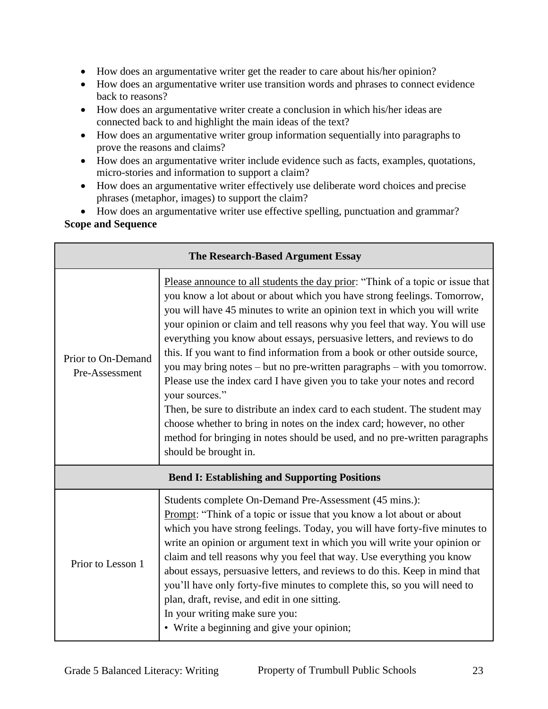- How does an argumentative writer get the reader to care about his/her opinion?
- How does an argumentative writer use transition words and phrases to connect evidence back to reasons?
- How does an argumentative writer create a conclusion in which his/her ideas are connected back to and highlight the main ideas of the text?
- How does an argumentative writer group information sequentially into paragraphs to prove the reasons and claims?
- How does an argumentative writer include evidence such as facts, examples, quotations, micro-stories and information to support a claim?
- How does an argumentative writer effectively use deliberate word choices and precise phrases (metaphor, images) to support the claim?

 How does an argumentative writer use effective spelling, punctuation and grammar? **Scope and Sequence**

| The Research-Based Argument Essay                    |                                                                                                                                                                                                                                                                                                                                                                                                                                                                                                                                                                                                                                                                                                                                                                                                                                                                                                                       |  |
|------------------------------------------------------|-----------------------------------------------------------------------------------------------------------------------------------------------------------------------------------------------------------------------------------------------------------------------------------------------------------------------------------------------------------------------------------------------------------------------------------------------------------------------------------------------------------------------------------------------------------------------------------------------------------------------------------------------------------------------------------------------------------------------------------------------------------------------------------------------------------------------------------------------------------------------------------------------------------------------|--|
| Prior to On-Demand<br>Pre-Assessment                 | Please announce to all students the day prior: "Think of a topic or issue that<br>you know a lot about or about which you have strong feelings. Tomorrow,<br>you will have 45 minutes to write an opinion text in which you will write<br>your opinion or claim and tell reasons why you feel that way. You will use<br>everything you know about essays, persuasive letters, and reviews to do<br>this. If you want to find information from a book or other outside source,<br>you may bring notes – but no pre-written paragraphs – with you tomorrow.<br>Please use the index card I have given you to take your notes and record<br>your sources."<br>Then, be sure to distribute an index card to each student. The student may<br>choose whether to bring in notes on the index card; however, no other<br>method for bringing in notes should be used, and no pre-written paragraphs<br>should be brought in. |  |
| <b>Bend I: Establishing and Supporting Positions</b> |                                                                                                                                                                                                                                                                                                                                                                                                                                                                                                                                                                                                                                                                                                                                                                                                                                                                                                                       |  |
| Prior to Lesson 1                                    | Students complete On-Demand Pre-Assessment (45 mins.):<br>Prompt: "Think of a topic or issue that you know a lot about or about<br>which you have strong feelings. Today, you will have forty-five minutes to<br>write an opinion or argument text in which you will write your opinion or<br>claim and tell reasons why you feel that way. Use everything you know<br>about essays, persuasive letters, and reviews to do this. Keep in mind that<br>you'll have only forty-five minutes to complete this, so you will need to<br>plan, draft, revise, and edit in one sitting.<br>In your writing make sure you:<br>• Write a beginning and give your opinion;                                                                                                                                                                                                                                                      |  |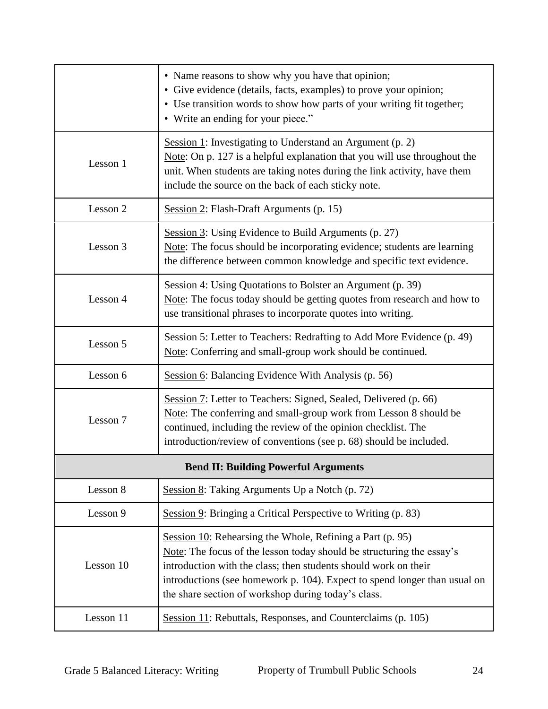|                                             | • Name reasons to show why you have that opinion;<br>· Give evidence (details, facts, examples) to prove your opinion;<br>• Use transition words to show how parts of your writing fit together;<br>• Write an ending for your piece."                                                                                                    |  |
|---------------------------------------------|-------------------------------------------------------------------------------------------------------------------------------------------------------------------------------------------------------------------------------------------------------------------------------------------------------------------------------------------|--|
| Lesson 1                                    | Session 1: Investigating to Understand an Argument $(p, 2)$<br>Note: On p. 127 is a helpful explanation that you will use throughout the<br>unit. When students are taking notes during the link activity, have them<br>include the source on the back of each sticky note.                                                               |  |
| Lesson 2                                    | Session 2: Flash-Draft Arguments (p. 15)                                                                                                                                                                                                                                                                                                  |  |
| Lesson 3                                    | Session 3: Using Evidence to Build Arguments (p. 27)<br>Note: The focus should be incorporating evidence; students are learning<br>the difference between common knowledge and specific text evidence.                                                                                                                                    |  |
| Lesson 4                                    | Session 4: Using Quotations to Bolster an Argument (p. 39)<br>Note: The focus today should be getting quotes from research and how to<br>use transitional phrases to incorporate quotes into writing.                                                                                                                                     |  |
| Lesson 5                                    | Session 5: Letter to Teachers: Redrafting to Add More Evidence (p. 49)<br>Note: Conferring and small-group work should be continued.                                                                                                                                                                                                      |  |
| Lesson 6                                    | Session 6: Balancing Evidence With Analysis (p. 56)                                                                                                                                                                                                                                                                                       |  |
| Lesson 7                                    | Session 7: Letter to Teachers: Signed, Sealed, Delivered (p. 66)<br>Note: The conferring and small-group work from Lesson 8 should be<br>continued, including the review of the opinion checklist. The<br>introduction/review of conventions (see p. 68) should be included.                                                              |  |
| <b>Bend II: Building Powerful Arguments</b> |                                                                                                                                                                                                                                                                                                                                           |  |
| Lesson 8                                    | Session 8: Taking Arguments Up a Notch (p. 72)                                                                                                                                                                                                                                                                                            |  |
| Lesson 9                                    | Session 9: Bringing a Critical Perspective to Writing (p. 83)                                                                                                                                                                                                                                                                             |  |
| Lesson 10                                   | Session 10: Rehearsing the Whole, Refining a Part (p. 95)<br>Note: The focus of the lesson today should be structuring the essay's<br>introduction with the class; then students should work on their<br>introductions (see homework p. 104). Expect to spend longer than usual on<br>the share section of workshop during today's class. |  |
| Lesson 11                                   | Session 11: Rebuttals, Responses, and Counterclaims (p. 105)                                                                                                                                                                                                                                                                              |  |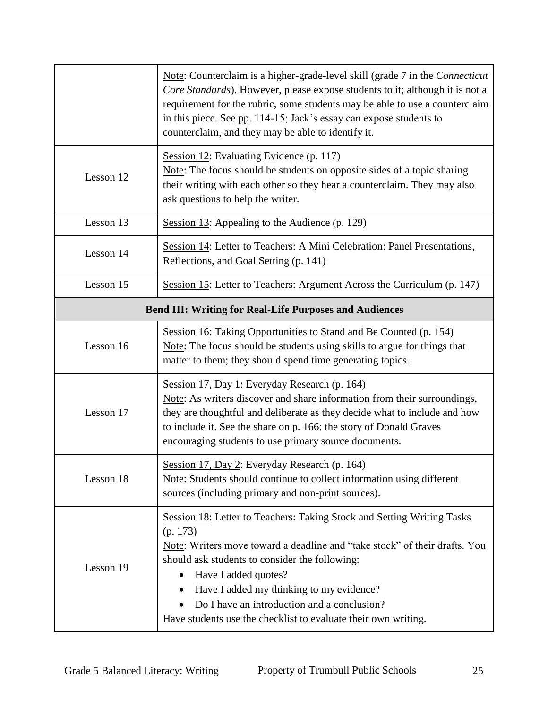|                                                               | Note: Counterclaim is a higher-grade-level skill (grade 7 in the Connecticut<br>Core Standards). However, please expose students to it; although it is not a<br>requirement for the rubric, some students may be able to use a counterclaim<br>in this piece. See pp. 114-15; Jack's essay can expose students to<br>counterclaim, and they may be able to identify it.                                 |  |
|---------------------------------------------------------------|---------------------------------------------------------------------------------------------------------------------------------------------------------------------------------------------------------------------------------------------------------------------------------------------------------------------------------------------------------------------------------------------------------|--|
| Lesson 12                                                     | Session 12: Evaluating Evidence (p. 117)<br>Note: The focus should be students on opposite sides of a topic sharing<br>their writing with each other so they hear a counterclaim. They may also<br>ask questions to help the writer.                                                                                                                                                                    |  |
| Lesson 13                                                     | Session $13$ : Appealing to the Audience (p. 129)                                                                                                                                                                                                                                                                                                                                                       |  |
| Lesson 14                                                     | Session 14: Letter to Teachers: A Mini Celebration: Panel Presentations,<br>Reflections, and Goal Setting (p. 141)                                                                                                                                                                                                                                                                                      |  |
| Lesson 15                                                     | Session 15: Letter to Teachers: Argument Across the Curriculum (p. 147)                                                                                                                                                                                                                                                                                                                                 |  |
| <b>Bend III: Writing for Real-Life Purposes and Audiences</b> |                                                                                                                                                                                                                                                                                                                                                                                                         |  |
| Lesson 16                                                     | Session 16: Taking Opportunities to Stand and Be Counted (p. 154)<br>Note: The focus should be students using skills to argue for things that<br>matter to them; they should spend time generating topics.                                                                                                                                                                                              |  |
| Lesson 17                                                     | Session 17, Day 1: Everyday Research (p. 164)<br>Note: As writers discover and share information from their surroundings,<br>they are thoughtful and deliberate as they decide what to include and how<br>to include it. See the share on p. 166: the story of Donald Graves<br>encouraging students to use primary source documents.                                                                   |  |
| Lesson 18                                                     | Session 17, Day 2: Everyday Research (p. 164)<br>Note: Students should continue to collect information using different<br>sources (including primary and non-print sources).                                                                                                                                                                                                                            |  |
| Lesson 19                                                     | Session 18: Letter to Teachers: Taking Stock and Setting Writing Tasks<br>(p. 173)<br>Note: Writers move toward a deadline and "take stock" of their drafts. You<br>should ask students to consider the following:<br>Have I added quotes?<br>Have I added my thinking to my evidence?<br>Do I have an introduction and a conclusion?<br>Have students use the checklist to evaluate their own writing. |  |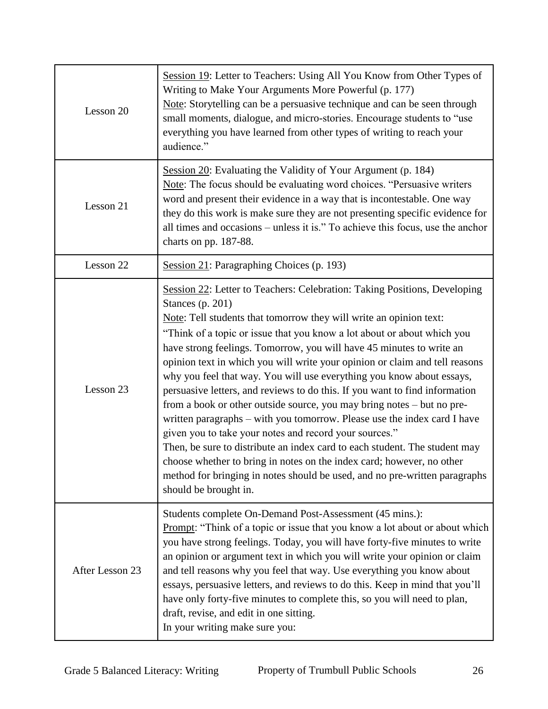| Lesson 20       | Session 19: Letter to Teachers: Using All You Know from Other Types of<br>Writing to Make Your Arguments More Powerful (p. 177)<br>Note: Storytelling can be a persuasive technique and can be seen through<br>small moments, dialogue, and micro-stories. Encourage students to "use<br>everything you have learned from other types of writing to reach your<br>audience."                                                                                                                                                                                                                                                                                                                                                                                                                                                                                                                                                                                                                                                                  |  |
|-----------------|-----------------------------------------------------------------------------------------------------------------------------------------------------------------------------------------------------------------------------------------------------------------------------------------------------------------------------------------------------------------------------------------------------------------------------------------------------------------------------------------------------------------------------------------------------------------------------------------------------------------------------------------------------------------------------------------------------------------------------------------------------------------------------------------------------------------------------------------------------------------------------------------------------------------------------------------------------------------------------------------------------------------------------------------------|--|
| Lesson 21       | Session 20: Evaluating the Validity of Your Argument (p. 184)<br>Note: The focus should be evaluating word choices. "Persuasive writers<br>word and present their evidence in a way that is incontestable. One way<br>they do this work is make sure they are not presenting specific evidence for<br>all times and occasions – unless it is." To achieve this focus, use the anchor<br>charts on pp. 187-88.                                                                                                                                                                                                                                                                                                                                                                                                                                                                                                                                                                                                                                 |  |
| Lesson 22       | Session 21: Paragraphing Choices (p. 193)                                                                                                                                                                                                                                                                                                                                                                                                                                                                                                                                                                                                                                                                                                                                                                                                                                                                                                                                                                                                     |  |
| Lesson 23       | Session 22: Letter to Teachers: Celebration: Taking Positions, Developing<br>Stances $(p. 201)$<br>Note: Tell students that tomorrow they will write an opinion text:<br>"Think of a topic or issue that you know a lot about or about which you<br>have strong feelings. Tomorrow, you will have 45 minutes to write an<br>opinion text in which you will write your opinion or claim and tell reasons<br>why you feel that way. You will use everything you know about essays,<br>persuasive letters, and reviews to do this. If you want to find information<br>from a book or other outside source, you may bring notes – but no pre-<br>written paragraphs - with you tomorrow. Please use the index card I have<br>given you to take your notes and record your sources."<br>Then, be sure to distribute an index card to each student. The student may<br>choose whether to bring in notes on the index card; however, no other<br>method for bringing in notes should be used, and no pre-written paragraphs<br>should be brought in. |  |
| After Lesson 23 | Students complete On-Demand Post-Assessment (45 mins.):<br><b>Prompt:</b> "Think of a topic or issue that you know a lot about or about which<br>you have strong feelings. Today, you will have forty-five minutes to write<br>an opinion or argument text in which you will write your opinion or claim<br>and tell reasons why you feel that way. Use everything you know about<br>essays, persuasive letters, and reviews to do this. Keep in mind that you'll<br>have only forty-five minutes to complete this, so you will need to plan,<br>draft, revise, and edit in one sitting.<br>In your writing make sure you:                                                                                                                                                                                                                                                                                                                                                                                                                    |  |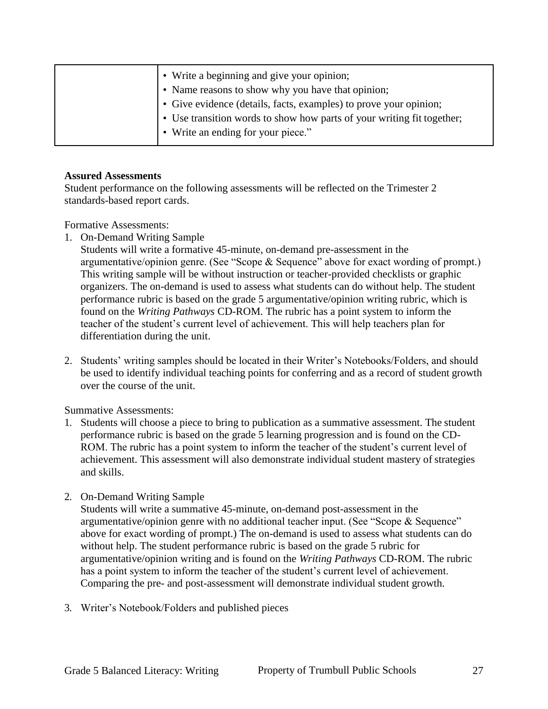| • Write a beginning and give your opinion;                             |
|------------------------------------------------------------------------|
| • Name reasons to show why you have that opinion;                      |
| • Give evidence (details, facts, examples) to prove your opinion;      |
| • Use transition words to show how parts of your writing fit together; |
| • Write an ending for your piece."                                     |

#### **Assured Assessments**

Student performance on the following assessments will be reflected on the Trimester 2 standards-based report cards.

Formative Assessments:

1. On-Demand Writing Sample

Students will write a formative 45-minute, on-demand pre-assessment in the argumentative/opinion genre. (See "Scope & Sequence" above for exact wording of prompt.) This writing sample will be without instruction or teacher-provided checklists or graphic organizers. The on-demand is used to assess what students can do without help. The student performance rubric is based on the grade 5 argumentative/opinion writing rubric, which is found on the *Writing Pathways* CD-ROM. The rubric has a point system to inform the teacher of the student's current level of achievement. This will help teachers plan for differentiation during the unit.

2. Students' writing samples should be located in their Writer's Notebooks/Folders, and should be used to identify individual teaching points for conferring and as a record of student growth over the course of the unit.

Summative Assessments:

- 1. Students will choose a piece to bring to publication as a summative assessment. The student performance rubric is based on the grade 5 learning progression and is found on the CD-ROM. The rubric has a point system to inform the teacher of the student's current level of achievement. This assessment will also demonstrate individual student mastery of strategies and skills.
- 2. On-Demand Writing Sample

Students will write a summative 45-minute, on-demand post-assessment in the argumentative/opinion genre with no additional teacher input. (See "Scope & Sequence" above for exact wording of prompt.) The on-demand is used to assess what students can do without help. The student performance rubric is based on the grade 5 rubric for argumentative/opinion writing and is found on the *Writing Pathways* CD-ROM. The rubric has a point system to inform the teacher of the student's current level of achievement. Comparing the pre- and post-assessment will demonstrate individual student growth.

3. Writer's Notebook/Folders and published pieces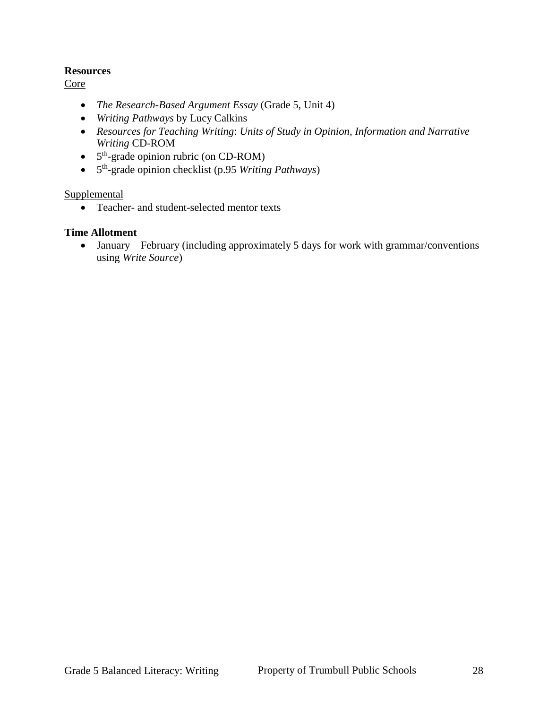#### **Resources**

Core

- *The Research-Based Argument Essay* (Grade 5, Unit 4)
- *Writing Pathways* by Lucy Calkins
- *Resources for Teaching Writing*: *Units of Study in Opinion, Information and Narrative Writing* CD-ROM
- 5<sup>th</sup>-grade opinion rubric (on CD-ROM)
- 5 th -grade opinion checklist (p.95 *Writing Pathways*)

**Supplemental** 

• Teacher- and student-selected mentor texts

#### **Time Allotment**

 January – February (including approximately 5 days for work with grammar/conventions using *Write Source*)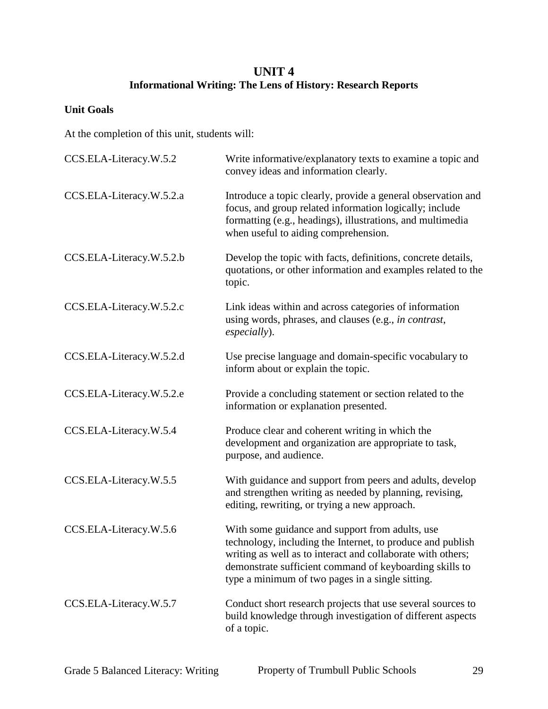# **UNIT 4 Informational Writing: The Lens of History: Research Reports**

## **Unit Goals**

At the completion of this unit, students will:

| CCS.ELA-Literacy.W.5.2   | Write informative/explanatory texts to examine a topic and<br>convey ideas and information clearly.                                                                                                                                                                                         |
|--------------------------|---------------------------------------------------------------------------------------------------------------------------------------------------------------------------------------------------------------------------------------------------------------------------------------------|
| CCS.ELA-Literacy.W.5.2.a | Introduce a topic clearly, provide a general observation and<br>focus, and group related information logically; include<br>formatting (e.g., headings), illustrations, and multimedia<br>when useful to aiding comprehension.                                                               |
| CCS.ELA-Literacy.W.5.2.b | Develop the topic with facts, definitions, concrete details,<br>quotations, or other information and examples related to the<br>topic.                                                                                                                                                      |
| CCS.ELA-Literacy.W.5.2.c | Link ideas within and across categories of information<br>using words, phrases, and clauses (e.g., in contrast,<br>especially).                                                                                                                                                             |
| CCS.ELA-Literacy.W.5.2.d | Use precise language and domain-specific vocabulary to<br>inform about or explain the topic.                                                                                                                                                                                                |
| CCS.ELA-Literacy.W.5.2.e | Provide a concluding statement or section related to the<br>information or explanation presented.                                                                                                                                                                                           |
| CCS.ELA-Literacy.W.5.4   | Produce clear and coherent writing in which the<br>development and organization are appropriate to task,<br>purpose, and audience.                                                                                                                                                          |
| CCS.ELA-Literacy.W.5.5   | With guidance and support from peers and adults, develop<br>and strengthen writing as needed by planning, revising,<br>editing, rewriting, or trying a new approach.                                                                                                                        |
| CCS.ELA-Literacy.W.5.6   | With some guidance and support from adults, use<br>technology, including the Internet, to produce and publish<br>writing as well as to interact and collaborate with others;<br>demonstrate sufficient command of keyboarding skills to<br>type a minimum of two pages in a single sitting. |
| CCS.ELA-Literacy.W.5.7   | Conduct short research projects that use several sources to<br>build knowledge through investigation of different aspects<br>of a topic.                                                                                                                                                    |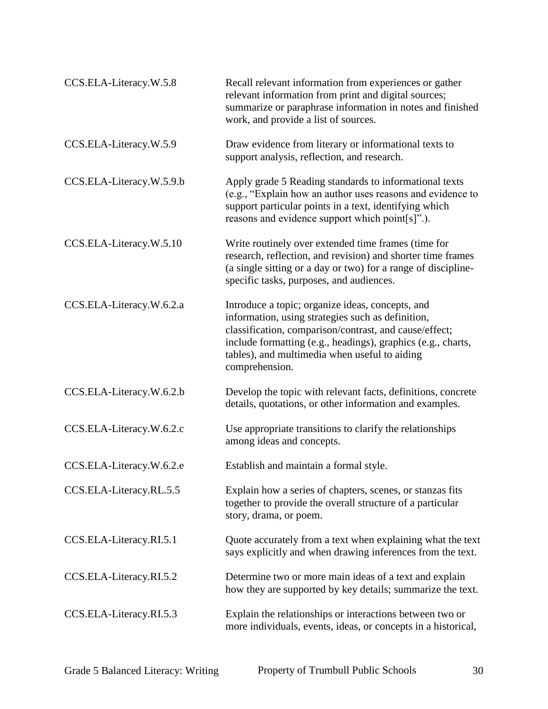| CCS.ELA-Literacy.W.5.8   | Recall relevant information from experiences or gather<br>relevant information from print and digital sources;<br>summarize or paraphrase information in notes and finished<br>work, and provide a list of sources.                                                                                |
|--------------------------|----------------------------------------------------------------------------------------------------------------------------------------------------------------------------------------------------------------------------------------------------------------------------------------------------|
| CCS.ELA-Literacy.W.5.9   | Draw evidence from literary or informational texts to<br>support analysis, reflection, and research.                                                                                                                                                                                               |
| CCS.ELA-Literacy.W.5.9.b | Apply grade 5 Reading standards to informational texts<br>(e.g., "Explain how an author uses reasons and evidence to<br>support particular points in a text, identifying which<br>reasons and evidence support which point[s]".).                                                                  |
| CCS.ELA-Literacy.W.5.10  | Write routinely over extended time frames (time for<br>research, reflection, and revision) and shorter time frames<br>(a single sitting or a day or two) for a range of discipline-<br>specific tasks, purposes, and audiences.                                                                    |
| CCS.ELA-Literacy.W.6.2.a | Introduce a topic; organize ideas, concepts, and<br>information, using strategies such as definition,<br>classification, comparison/contrast, and cause/effect;<br>include formatting (e.g., headings), graphics (e.g., charts,<br>tables), and multimedia when useful to aiding<br>comprehension. |
| CCS.ELA-Literacy.W.6.2.b | Develop the topic with relevant facts, definitions, concrete<br>details, quotations, or other information and examples.                                                                                                                                                                            |
| CCS.ELA-Literacy.W.6.2.c | Use appropriate transitions to clarify the relationships<br>among ideas and concepts.                                                                                                                                                                                                              |
| CCS.ELA-Literacy.W.6.2.e | Establish and maintain a formal style.                                                                                                                                                                                                                                                             |
| CCS.ELA-Literacy.RL.5.5  | Explain how a series of chapters, scenes, or stanzas fits<br>together to provide the overall structure of a particular<br>story, drama, or poem.                                                                                                                                                   |
| CCS.ELA-Literacy.RI.5.1  | Quote accurately from a text when explaining what the text<br>says explicitly and when drawing inferences from the text.                                                                                                                                                                           |
| CCS.ELA-Literacy.RI.5.2  | Determine two or more main ideas of a text and explain<br>how they are supported by key details; summarize the text.                                                                                                                                                                               |
| CCS.ELA-Literacy.RI.5.3  | Explain the relationships or interactions between two or<br>more individuals, events, ideas, or concepts in a historical,                                                                                                                                                                          |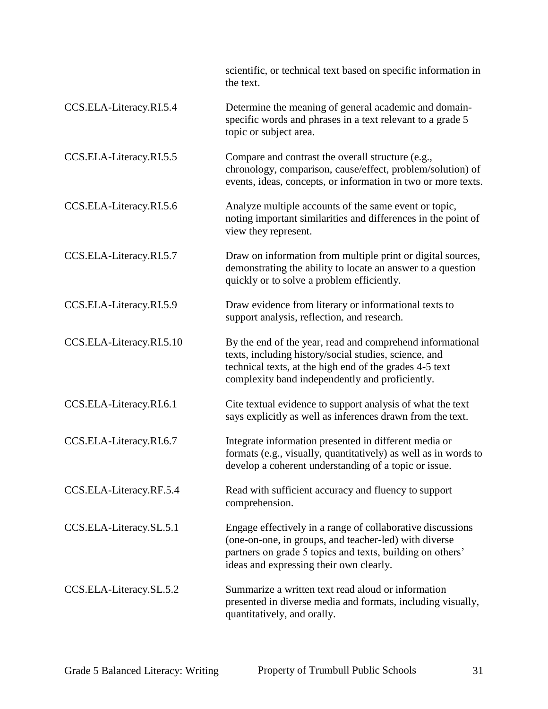|                          | scientific, or technical text based on specific information in<br>the text.                                                                                                                                                      |
|--------------------------|----------------------------------------------------------------------------------------------------------------------------------------------------------------------------------------------------------------------------------|
| CCS.ELA-Literacy.RI.5.4  | Determine the meaning of general academic and domain-<br>specific words and phrases in a text relevant to a grade 5<br>topic or subject area.                                                                                    |
| CCS.ELA-Literacy.RI.5.5  | Compare and contrast the overall structure (e.g.,<br>chronology, comparison, cause/effect, problem/solution) of<br>events, ideas, concepts, or information in two or more texts.                                                 |
| CCS.ELA-Literacy.RI.5.6  | Analyze multiple accounts of the same event or topic,<br>noting important similarities and differences in the point of<br>view they represent.                                                                                   |
| CCS.ELA-Literacy.RI.5.7  | Draw on information from multiple print or digital sources,<br>demonstrating the ability to locate an answer to a question<br>quickly or to solve a problem efficiently.                                                         |
| CCS.ELA-Literacy.RI.5.9  | Draw evidence from literary or informational texts to<br>support analysis, reflection, and research.                                                                                                                             |
| CCS.ELA-Literacy.RI.5.10 | By the end of the year, read and comprehend informational<br>texts, including history/social studies, science, and<br>technical texts, at the high end of the grades 4-5 text<br>complexity band independently and proficiently. |
| CCS.ELA-Literacy.RI.6.1  | Cite textual evidence to support analysis of what the text<br>says explicitly as well as inferences drawn from the text.                                                                                                         |
| CCS.ELA-Literacy.RI.6.7  | Integrate information presented in different media or<br>formats (e.g., visually, quantitatively) as well as in words to<br>develop a coherent understanding of a topic or issue.                                                |
| CCS.ELA-Literacy.RF.5.4  | Read with sufficient accuracy and fluency to support<br>comprehension.                                                                                                                                                           |
| CCS.ELA-Literacy.SL.5.1  | Engage effectively in a range of collaborative discussions<br>(one-on-one, in groups, and teacher-led) with diverse<br>partners on grade 5 topics and texts, building on others'<br>ideas and expressing their own clearly.      |
| CCS.ELA-Literacy.SL.5.2  | Summarize a written text read aloud or information<br>presented in diverse media and formats, including visually,<br>quantitatively, and orally.                                                                                 |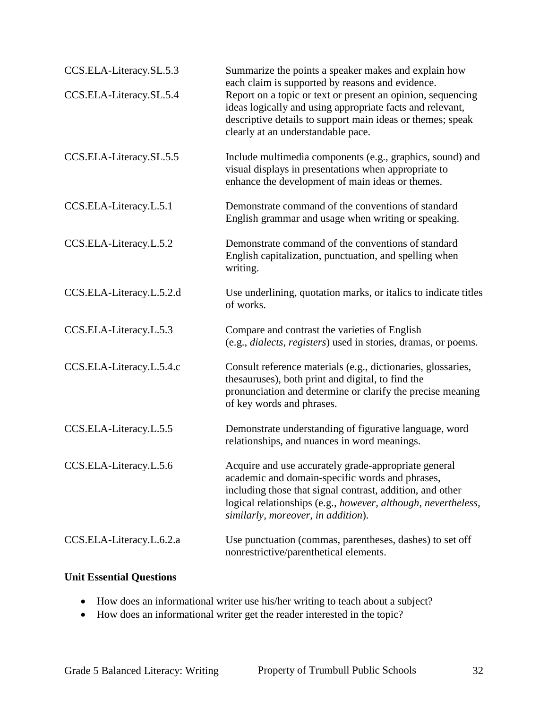| CCS.ELA-Literacy.SL.5.3  | Summarize the points a speaker makes and explain how<br>each claim is supported by reasons and evidence.                                                                                                                                                                    |
|--------------------------|-----------------------------------------------------------------------------------------------------------------------------------------------------------------------------------------------------------------------------------------------------------------------------|
| CCS.ELA-Literacy.SL.5.4  | Report on a topic or text or present an opinion, sequencing<br>ideas logically and using appropriate facts and relevant,<br>descriptive details to support main ideas or themes; speak<br>clearly at an understandable pace.                                                |
| CCS.ELA-Literacy.SL.5.5  | Include multimedia components (e.g., graphics, sound) and<br>visual displays in presentations when appropriate to<br>enhance the development of main ideas or themes.                                                                                                       |
| CCS.ELA-Literacy.L.5.1   | Demonstrate command of the conventions of standard<br>English grammar and usage when writing or speaking.                                                                                                                                                                   |
| CCS.ELA-Literacy.L.5.2   | Demonstrate command of the conventions of standard<br>English capitalization, punctuation, and spelling when<br>writing.                                                                                                                                                    |
| CCS.ELA-Literacy.L.5.2.d | Use underlining, quotation marks, or italics to indicate titles<br>of works.                                                                                                                                                                                                |
| CCS.ELA-Literacy.L.5.3   | Compare and contrast the varieties of English<br>(e.g., <i>dialects</i> , <i>registers</i> ) used in stories, dramas, or poems.                                                                                                                                             |
| CCS.ELA-Literacy.L.5.4.c | Consult reference materials (e.g., dictionaries, glossaries,<br>thesauruses), both print and digital, to find the<br>pronunciation and determine or clarify the precise meaning<br>of key words and phrases.                                                                |
| CCS.ELA-Literacy.L.5.5   | Demonstrate understanding of figurative language, word<br>relationships, and nuances in word meanings.                                                                                                                                                                      |
| CCS.ELA-Literacy.L.5.6   | Acquire and use accurately grade-appropriate general<br>academic and domain-specific words and phrases,<br>including those that signal contrast, addition, and other<br>logical relationships (e.g., however, although, nevertheless,<br>similarly, moreover, in addition). |
| CCS.ELA-Literacy.L.6.2.a | Use punctuation (commas, parentheses, dashes) to set off<br>nonrestrictive/parenthetical elements.                                                                                                                                                                          |

## **Unit Essential Questions**

- How does an informational writer use his/her writing to teach about a subject?
- How does an informational writer get the reader interested in the topic?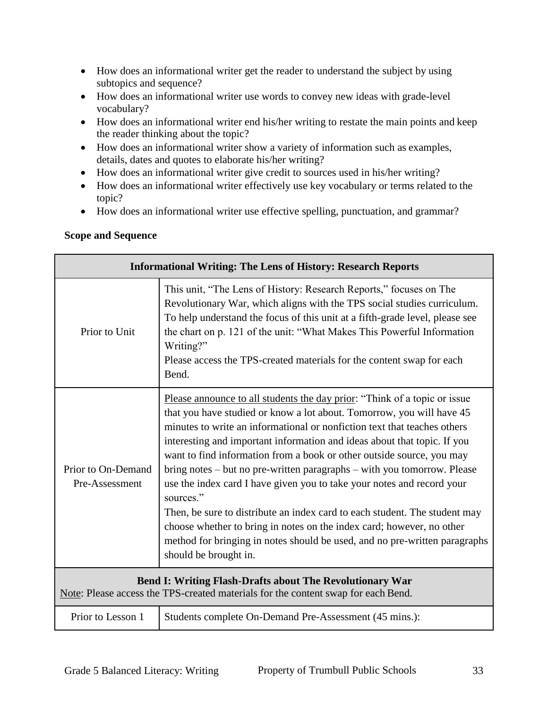- How does an informational writer get the reader to understand the subject by using subtopics and sequence?
- How does an informational writer use words to convey new ideas with grade-level vocabulary?
- How does an informational writer end his/her writing to restate the main points and keep the reader thinking about the topic?
- How does an informational writer show a variety of information such as examples, details, dates and quotes to elaborate his/her writing?
- How does an informational writer give credit to sources used in his/her writing?
- How does an informational writer effectively use key vocabulary or terms related to the topic?
- How does an informational writer use effective spelling, punctuation, and grammar?

## **Scope and Sequence**

| <b>Informational Writing: The Lens of History: Research Reports</b>                                                                                  |                                                                                                                                                                                                                                                                                                                                                                                                                                                                                                                                                                                                                                                                                                                                                                                                                     |  |
|------------------------------------------------------------------------------------------------------------------------------------------------------|---------------------------------------------------------------------------------------------------------------------------------------------------------------------------------------------------------------------------------------------------------------------------------------------------------------------------------------------------------------------------------------------------------------------------------------------------------------------------------------------------------------------------------------------------------------------------------------------------------------------------------------------------------------------------------------------------------------------------------------------------------------------------------------------------------------------|--|
| Prior to Unit                                                                                                                                        | This unit, "The Lens of History: Research Reports," focuses on The<br>Revolutionary War, which aligns with the TPS social studies curriculum.<br>To help understand the focus of this unit at a fifth-grade level, please see<br>the chart on p. 121 of the unit: "What Makes This Powerful Information<br>Writing?"<br>Please access the TPS-created materials for the content swap for each<br>Bend.                                                                                                                                                                                                                                                                                                                                                                                                              |  |
| Prior to On-Demand<br>Pre-Assessment                                                                                                                 | Please announce to all students the day prior: "Think of a topic or issue<br>that you have studied or know a lot about. Tomorrow, you will have 45<br>minutes to write an informational or nonfiction text that teaches others<br>interesting and important information and ideas about that topic. If you<br>want to find information from a book or other outside source, you may<br>bring notes – but no pre-written paragraphs – with you tomorrow. Please<br>use the index card I have given you to take your notes and record your<br>sources."<br>Then, be sure to distribute an index card to each student. The student may<br>choose whether to bring in notes on the index card; however, no other<br>method for bringing in notes should be used, and no pre-written paragraphs<br>should be brought in. |  |
| <b>Bend I: Writing Flash-Drafts about The Revolutionary War</b><br>Note: Please access the TPS-created materials for the content swap for each Bend. |                                                                                                                                                                                                                                                                                                                                                                                                                                                                                                                                                                                                                                                                                                                                                                                                                     |  |
| Prior to Lesson 1                                                                                                                                    | Students complete On-Demand Pre-Assessment (45 mins.):                                                                                                                                                                                                                                                                                                                                                                                                                                                                                                                                                                                                                                                                                                                                                              |  |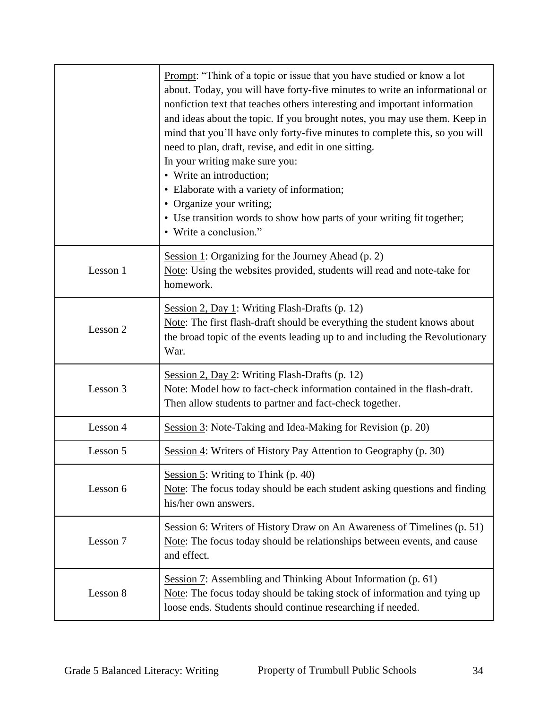|          | Prompt: "Think of a topic or issue that you have studied or know a lot<br>about. Today, you will have forty-five minutes to write an informational or<br>nonfiction text that teaches others interesting and important information<br>and ideas about the topic. If you brought notes, you may use them. Keep in<br>mind that you'll have only forty-five minutes to complete this, so you will<br>need to plan, draft, revise, and edit in one sitting.<br>In your writing make sure you:<br>• Write an introduction;<br>• Elaborate with a variety of information;<br>• Organize your writing;<br>• Use transition words to show how parts of your writing fit together;<br>• Write a conclusion." |
|----------|------------------------------------------------------------------------------------------------------------------------------------------------------------------------------------------------------------------------------------------------------------------------------------------------------------------------------------------------------------------------------------------------------------------------------------------------------------------------------------------------------------------------------------------------------------------------------------------------------------------------------------------------------------------------------------------------------|
| Lesson 1 | Session 1: Organizing for the Journey Ahead $(p, 2)$<br>Note: Using the websites provided, students will read and note-take for<br>homework.                                                                                                                                                                                                                                                                                                                                                                                                                                                                                                                                                         |
| Lesson 2 | Session 2, Day 1: Writing Flash-Drafts (p. 12)<br>Note: The first flash-draft should be everything the student knows about<br>the broad topic of the events leading up to and including the Revolutionary<br>War.                                                                                                                                                                                                                                                                                                                                                                                                                                                                                    |
| Lesson 3 | Session 2, Day 2: Writing Flash-Drafts (p. 12)<br>Note: Model how to fact-check information contained in the flash-draft.<br>Then allow students to partner and fact-check together.                                                                                                                                                                                                                                                                                                                                                                                                                                                                                                                 |
| Lesson 4 | Session 3: Note-Taking and Idea-Making for Revision (p. 20)                                                                                                                                                                                                                                                                                                                                                                                                                                                                                                                                                                                                                                          |
| Lesson 5 | Session 4: Writers of History Pay Attention to Geography (p. 30)                                                                                                                                                                                                                                                                                                                                                                                                                                                                                                                                                                                                                                     |
| Lesson 6 | Session 5: Writing to Think (p. 40)<br>Note: The focus today should be each student asking questions and finding<br>his/her own answers.                                                                                                                                                                                                                                                                                                                                                                                                                                                                                                                                                             |
| Lesson 7 | Session 6: Writers of History Draw on An Awareness of Timelines (p. 51)<br>Note: The focus today should be relationships between events, and cause<br>and effect.                                                                                                                                                                                                                                                                                                                                                                                                                                                                                                                                    |
| Lesson 8 | Session 7: Assembling and Thinking About Information (p. 61)<br>Note: The focus today should be taking stock of information and tying up<br>loose ends. Students should continue researching if needed.                                                                                                                                                                                                                                                                                                                                                                                                                                                                                              |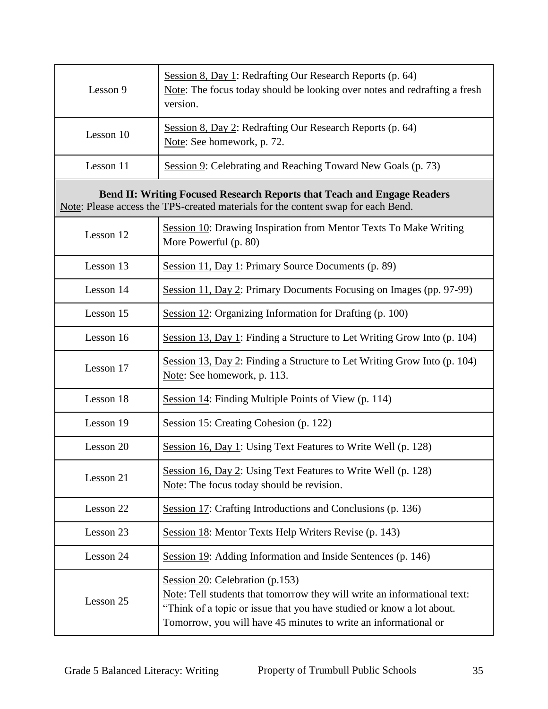| Lesson 9                                                                                                                                                            | Session 8, Day 1: Redrafting Our Research Reports (p. 64)<br>Note: The focus today should be looking over notes and redrafting a fresh<br>version.                                                                                                         |  |
|---------------------------------------------------------------------------------------------------------------------------------------------------------------------|------------------------------------------------------------------------------------------------------------------------------------------------------------------------------------------------------------------------------------------------------------|--|
| Lesson 10                                                                                                                                                           | Session 8, Day 2: Redrafting Our Research Reports (p. 64)<br>Note: See homework, p. 72.                                                                                                                                                                    |  |
| Lesson 11                                                                                                                                                           | Session 9: Celebrating and Reaching Toward New Goals (p. 73)                                                                                                                                                                                               |  |
| <b>Bend II: Writing Focused Research Reports that Teach and Engage Readers</b><br>Note: Please access the TPS-created materials for the content swap for each Bend. |                                                                                                                                                                                                                                                            |  |
| Lesson 12                                                                                                                                                           | Session 10: Drawing Inspiration from Mentor Texts To Make Writing<br>More Powerful (p. 80)                                                                                                                                                                 |  |
| Lesson 13                                                                                                                                                           | Session 11, Day 1: Primary Source Documents (p. 89)                                                                                                                                                                                                        |  |
| Lesson 14                                                                                                                                                           | Session 11, Day 2: Primary Documents Focusing on Images (pp. 97-99)                                                                                                                                                                                        |  |
| Lesson 15                                                                                                                                                           | Session 12: Organizing Information for Drafting (p. 100)                                                                                                                                                                                                   |  |
| Lesson 16                                                                                                                                                           | Session 13, Day 1: Finding a Structure to Let Writing Grow Into (p. 104)                                                                                                                                                                                   |  |
| Lesson 17                                                                                                                                                           | Session 13, Day 2: Finding a Structure to Let Writing Grow Into (p. 104)<br>Note: See homework, p. 113.                                                                                                                                                    |  |
| Lesson 18                                                                                                                                                           | Session 14: Finding Multiple Points of View (p. 114)                                                                                                                                                                                                       |  |
| Lesson 19                                                                                                                                                           | Session 15: Creating Cohesion (p. 122)                                                                                                                                                                                                                     |  |
| Lesson 20                                                                                                                                                           | Session 16, Day 1: Using Text Features to Write Well (p. 128)                                                                                                                                                                                              |  |
| Lesson 21                                                                                                                                                           | Session 16, Day 2: Using Text Features to Write Well (p. 128)<br>Note: The focus today should be revision.                                                                                                                                                 |  |
| Lesson 22                                                                                                                                                           | Session 17: Crafting Introductions and Conclusions (p. 136)                                                                                                                                                                                                |  |
| Lesson 23                                                                                                                                                           | Session 18: Mentor Texts Help Writers Revise (p. 143)                                                                                                                                                                                                      |  |
| Lesson 24                                                                                                                                                           | Session 19: Adding Information and Inside Sentences (p. 146)                                                                                                                                                                                               |  |
| Lesson 25                                                                                                                                                           | Session $20$ : Celebration (p.153)<br>Note: Tell students that tomorrow they will write an informational text:<br>"Think of a topic or issue that you have studied or know a lot about.<br>Tomorrow, you will have 45 minutes to write an informational or |  |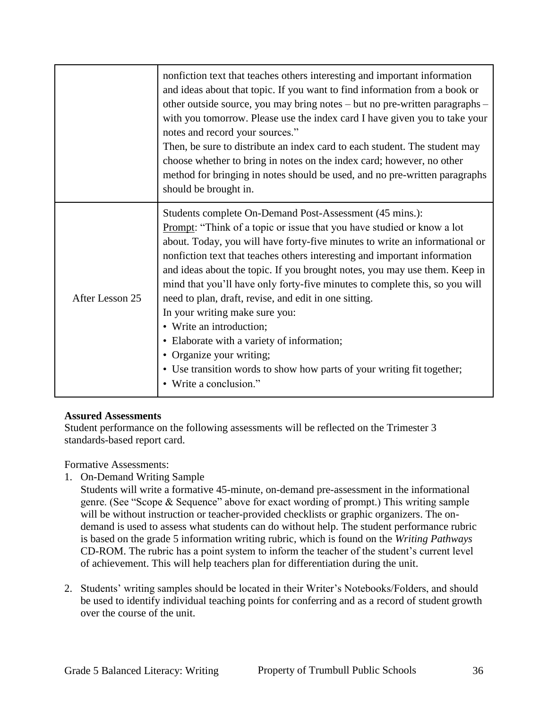|                 | nonfiction text that teaches others interesting and important information<br>and ideas about that topic. If you want to find information from a book or<br>other outside source, you may bring notes – but no pre-written paragraphs –<br>with you tomorrow. Please use the index card I have given you to take your<br>notes and record your sources."<br>Then, be sure to distribute an index card to each student. The student may<br>choose whether to bring in notes on the index card; however, no other<br>method for bringing in notes should be used, and no pre-written paragraphs<br>should be brought in.                                                                                                                                         |
|-----------------|---------------------------------------------------------------------------------------------------------------------------------------------------------------------------------------------------------------------------------------------------------------------------------------------------------------------------------------------------------------------------------------------------------------------------------------------------------------------------------------------------------------------------------------------------------------------------------------------------------------------------------------------------------------------------------------------------------------------------------------------------------------|
| After Lesson 25 | Students complete On-Demand Post-Assessment (45 mins.):<br>Prompt: "Think of a topic or issue that you have studied or know a lot<br>about. Today, you will have forty-five minutes to write an informational or<br>nonfiction text that teaches others interesting and important information<br>and ideas about the topic. If you brought notes, you may use them. Keep in<br>mind that you'll have only forty-five minutes to complete this, so you will<br>need to plan, draft, revise, and edit in one sitting.<br>In your writing make sure you:<br>• Write an introduction;<br>• Elaborate with a variety of information;<br>• Organize your writing;<br>• Use transition words to show how parts of your writing fit together;<br>Write a conclusion." |

#### **Assured Assessments**

Student performance on the following assessments will be reflected on the Trimester 3 standards-based report card.

Formative Assessments:

1. On-Demand Writing Sample

Students will write a formative 45-minute, on-demand pre-assessment in the informational genre. (See "Scope & Sequence" above for exact wording of prompt.) This writing sample will be without instruction or teacher-provided checklists or graphic organizers. The ondemand is used to assess what students can do without help. The student performance rubric is based on the grade 5 information writing rubric, which is found on the *Writing Pathways*  CD-ROM. The rubric has a point system to inform the teacher of the student's current level of achievement. This will help teachers plan for differentiation during the unit.

2. Students' writing samples should be located in their Writer's Notebooks/Folders, and should be used to identify individual teaching points for conferring and as a record of student growth over the course of the unit.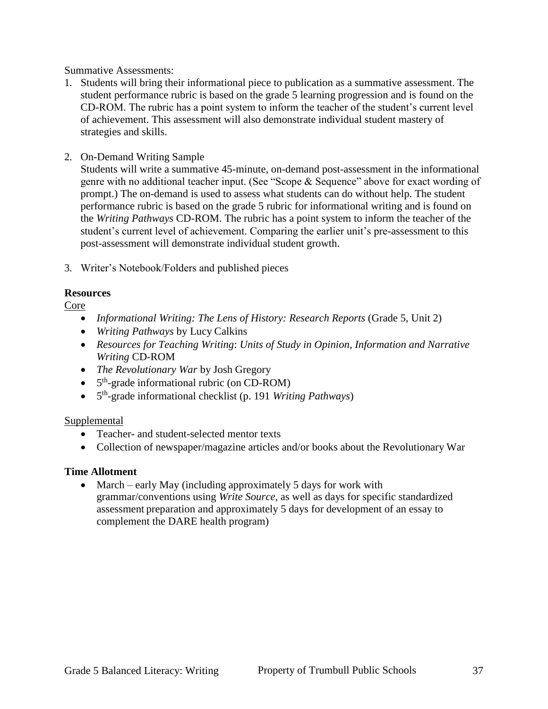Summative Assessments:

- 1. Students will bring their informational piece to publication as a summative assessment. The student performance rubric is based on the grade 5 learning progression and is found on the CD-ROM. The rubric has a point system to inform the teacher of the student's current level of achievement. This assessment will also demonstrate individual student mastery of strategies and skills.
- 2. On-Demand Writing Sample

Students will write a summative 45-minute, on-demand post-assessment in the informational genre with no additional teacher input. (See "Scope & Sequence" above for exact wording of prompt.) The on-demand is used to assess what students can do without help. The student performance rubric is based on the grade 5 rubric for informational writing and is found on the *Writing Pathways* CD-ROM. The rubric has a point system to inform the teacher of the student's current level of achievement. Comparing the earlier unit's pre-assessment to this post-assessment will demonstrate individual student growth.

3. Writer's Notebook/Folders and published pieces

### **Resources**

Core

- *Informational Writing: The Lens of History: Research Reports* (Grade 5, Unit 2)
- *Writing Pathways* by Lucy Calkins
- *Resources for Teaching Writing*: *Units of Study in Opinion, Information and Narrative Writing* CD-ROM
- *The Revolutionary War* by Josh Gregory
- 5<sup>th</sup>-grade informational rubric (on CD-ROM)
- 5 th -grade informational checklist (p. 191 *Writing Pathways*)

### Supplemental

- Teacher- and student-selected mentor texts
- Collection of newspaper/magazine articles and/or books about the Revolutionary War

### **Time Allotment**

• March – early May (including approximately 5 days for work with grammar/conventions using *Write Source*, as well as days for specific standardized assessment preparation and approximately 5 days for development of an essay to complement the DARE health program)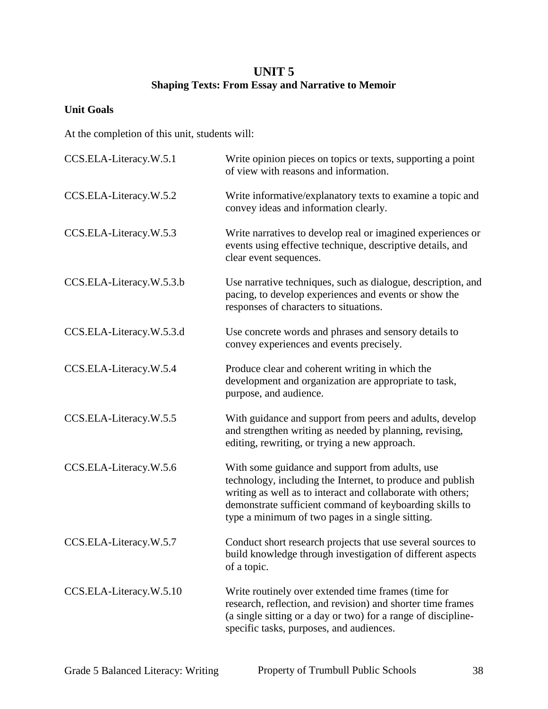# **UNIT 5 Shaping Texts: From Essay and Narrative to Memoir**

## **Unit Goals**

At the completion of this unit, students will:

| CCS.ELA-Literacy.W.5.1   | Write opinion pieces on topics or texts, supporting a point<br>of view with reasons and information.                                                                                                                                                                                        |
|--------------------------|---------------------------------------------------------------------------------------------------------------------------------------------------------------------------------------------------------------------------------------------------------------------------------------------|
| CCS.ELA-Literacy.W.5.2   | Write informative/explanatory texts to examine a topic and<br>convey ideas and information clearly.                                                                                                                                                                                         |
| CCS.ELA-Literacy.W.5.3   | Write narratives to develop real or imagined experiences or<br>events using effective technique, descriptive details, and<br>clear event sequences.                                                                                                                                         |
| CCS.ELA-Literacy.W.5.3.b | Use narrative techniques, such as dialogue, description, and<br>pacing, to develop experiences and events or show the<br>responses of characters to situations.                                                                                                                             |
| CCS.ELA-Literacy.W.5.3.d | Use concrete words and phrases and sensory details to<br>convey experiences and events precisely.                                                                                                                                                                                           |
| CCS.ELA-Literacy.W.5.4   | Produce clear and coherent writing in which the<br>development and organization are appropriate to task,<br>purpose, and audience.                                                                                                                                                          |
| CCS.ELA-Literacy.W.5.5   | With guidance and support from peers and adults, develop<br>and strengthen writing as needed by planning, revising,<br>editing, rewriting, or trying a new approach.                                                                                                                        |
| CCS.ELA-Literacy.W.5.6   | With some guidance and support from adults, use<br>technology, including the Internet, to produce and publish<br>writing as well as to interact and collaborate with others;<br>demonstrate sufficient command of keyboarding skills to<br>type a minimum of two pages in a single sitting. |
| CCS.ELA-Literacy.W.5.7   | Conduct short research projects that use several sources to<br>build knowledge through investigation of different aspects<br>of a topic.                                                                                                                                                    |
| CCS.ELA-Literacy.W.5.10  | Write routinely over extended time frames (time for<br>research, reflection, and revision) and shorter time frames<br>(a single sitting or a day or two) for a range of discipline-<br>specific tasks, purposes, and audiences.                                                             |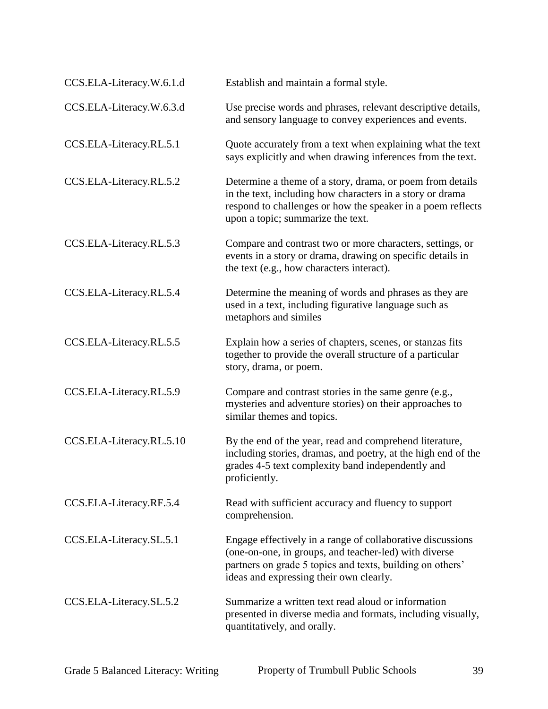| CCS.ELA-Literacy.W.6.1.d | Establish and maintain a formal style.                                                                                                                                                                                      |
|--------------------------|-----------------------------------------------------------------------------------------------------------------------------------------------------------------------------------------------------------------------------|
| CCS.ELA-Literacy.W.6.3.d | Use precise words and phrases, relevant descriptive details,<br>and sensory language to convey experiences and events.                                                                                                      |
| CCS.ELA-Literacy.RL.5.1  | Quote accurately from a text when explaining what the text<br>says explicitly and when drawing inferences from the text.                                                                                                    |
| CCS.ELA-Literacy.RL.5.2  | Determine a theme of a story, drama, or poem from details<br>in the text, including how characters in a story or drama<br>respond to challenges or how the speaker in a poem reflects<br>upon a topic; summarize the text.  |
| CCS.ELA-Literacy.RL.5.3  | Compare and contrast two or more characters, settings, or<br>events in a story or drama, drawing on specific details in<br>the text (e.g., how characters interact).                                                        |
| CCS.ELA-Literacy.RL.5.4  | Determine the meaning of words and phrases as they are<br>used in a text, including figurative language such as<br>metaphors and similes                                                                                    |
| CCS.ELA-Literacy.RL.5.5  | Explain how a series of chapters, scenes, or stanzas fits<br>together to provide the overall structure of a particular<br>story, drama, or poem.                                                                            |
| CCS.ELA-Literacy.RL.5.9  | Compare and contrast stories in the same genre (e.g.,<br>mysteries and adventure stories) on their approaches to<br>similar themes and topics.                                                                              |
| CCS.ELA-Literacy.RL.5.10 | By the end of the year, read and comprehend literature,<br>including stories, dramas, and poetry, at the high end of the<br>grades 4-5 text complexity band independently and<br>proficiently.                              |
| CCS.ELA-Literacy.RF.5.4  | Read with sufficient accuracy and fluency to support<br>comprehension.                                                                                                                                                      |
| CCS.ELA-Literacy.SL.5.1  | Engage effectively in a range of collaborative discussions<br>(one-on-one, in groups, and teacher-led) with diverse<br>partners on grade 5 topics and texts, building on others'<br>ideas and expressing their own clearly. |
| CCS.ELA-Literacy.SL.5.2  | Summarize a written text read aloud or information<br>presented in diverse media and formats, including visually,<br>quantitatively, and orally.                                                                            |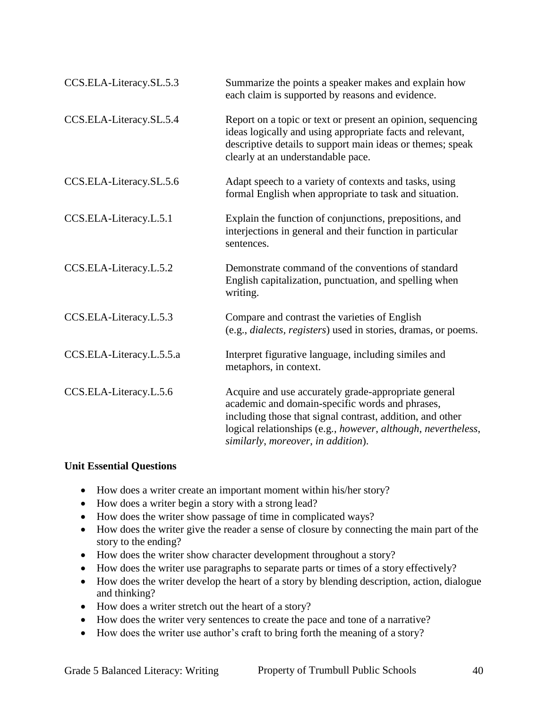| CCS.ELA-Literacy.SL.5.3  | Summarize the points a speaker makes and explain how<br>each claim is supported by reasons and evidence.                                                                                                                                                                    |
|--------------------------|-----------------------------------------------------------------------------------------------------------------------------------------------------------------------------------------------------------------------------------------------------------------------------|
| CCS.ELA-Literacy.SL.5.4  | Report on a topic or text or present an opinion, sequencing<br>ideas logically and using appropriate facts and relevant,<br>descriptive details to support main ideas or themes; speak<br>clearly at an understandable pace.                                                |
| CCS.ELA-Literacy.SL.5.6  | Adapt speech to a variety of contexts and tasks, using<br>formal English when appropriate to task and situation.                                                                                                                                                            |
| CCS.ELA-Literacy.L.5.1   | Explain the function of conjunctions, prepositions, and<br>interjections in general and their function in particular<br>sentences.                                                                                                                                          |
| CCS.ELA-Literacy.L.5.2   | Demonstrate command of the conventions of standard<br>English capitalization, punctuation, and spelling when<br>writing.                                                                                                                                                    |
| CCS.ELA-Literacy.L.5.3   | Compare and contrast the varieties of English<br>(e.g., <i>dialects</i> , <i>registers</i> ) used in stories, dramas, or poems.                                                                                                                                             |
| CCS.ELA-Literacy.L.5.5.a | Interpret figurative language, including similes and<br>metaphors, in context.                                                                                                                                                                                              |
| CCS.ELA-Literacy.L.5.6   | Acquire and use accurately grade-appropriate general<br>academic and domain-specific words and phrases,<br>including those that signal contrast, addition, and other<br>logical relationships (e.g., however, although, nevertheless,<br>similarly, moreover, in addition). |

### **Unit Essential Questions**

- How does a writer create an important moment within his/her story?
- How does a writer begin a story with a strong lead?
- How does the writer show passage of time in complicated ways?
- How does the writer give the reader a sense of closure by connecting the main part of the story to the ending?
- How does the writer show character development throughout a story?
- How does the writer use paragraphs to separate parts or times of a story effectively?
- How does the writer develop the heart of a story by blending description, action, dialogue and thinking?
- How does a writer stretch out the heart of a story?
- How does the writer very sentences to create the pace and tone of a narrative?
- How does the writer use author's craft to bring forth the meaning of a story?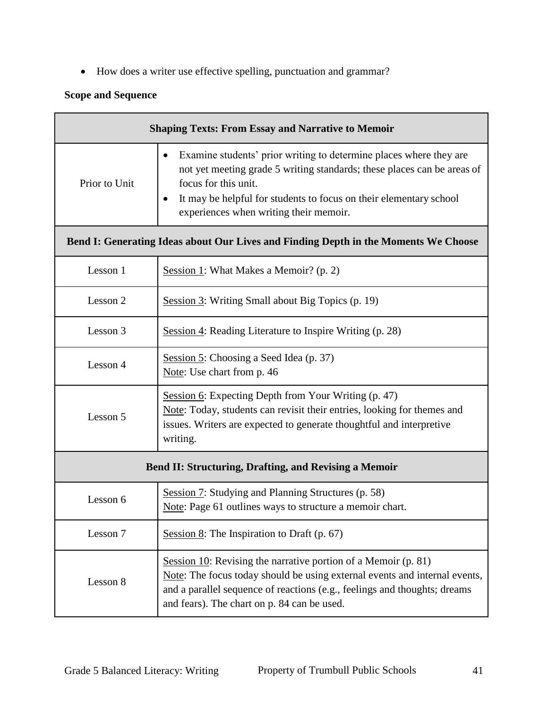How does a writer use effective spelling, punctuation and grammar?

# **Scope and Sequence**

| <b>Shaping Texts: From Essay and Narrative to Memoir</b>                            |                                                                                                                                                                                                                                                                                                         |  |
|-------------------------------------------------------------------------------------|---------------------------------------------------------------------------------------------------------------------------------------------------------------------------------------------------------------------------------------------------------------------------------------------------------|--|
| Prior to Unit                                                                       | Examine students' prior writing to determine places where they are<br>$\bullet$<br>not yet meeting grade 5 writing standards; these places can be areas of<br>focus for this unit.<br>It may be helpful for students to focus on their elementary school<br>٠<br>experiences when writing their memoir. |  |
| Bend I: Generating Ideas about Our Lives and Finding Depth in the Moments We Choose |                                                                                                                                                                                                                                                                                                         |  |
| Lesson 1                                                                            | Session 1: What Makes a Memoir? (p. 2)                                                                                                                                                                                                                                                                  |  |
| Lesson 2                                                                            | Session 3: Writing Small about Big Topics (p. 19)                                                                                                                                                                                                                                                       |  |
| Lesson 3                                                                            | Session 4: Reading Literature to Inspire Writing (p. 28)                                                                                                                                                                                                                                                |  |
| Lesson 4                                                                            | Session 5: Choosing a Seed Idea (p. 37)<br>Note: Use chart from p. 46                                                                                                                                                                                                                                   |  |
| Lesson 5                                                                            | Session 6: Expecting Depth from Your Writing (p. 47)<br>Note: Today, students can revisit their entries, looking for themes and<br>issues. Writers are expected to generate thoughtful and interpretive<br>writing.                                                                                     |  |
| <b>Bend II: Structuring, Drafting, and Revising a Memoir</b>                        |                                                                                                                                                                                                                                                                                                         |  |
| Lesson 6                                                                            | Session 7: Studying and Planning Structures (p. 58)<br>Note: Page 61 outlines ways to structure a memoir chart.                                                                                                                                                                                         |  |
| Lesson 7                                                                            | Session $8$ : The Inspiration to Draft (p. 67)                                                                                                                                                                                                                                                          |  |
| Lesson 8                                                                            | Session 10: Revising the narrative portion of a Memoir $(p. 81)$<br>Note: The focus today should be using external events and internal events,<br>and a parallel sequence of reactions (e.g., feelings and thoughts; dreams<br>and fears). The chart on p. 84 can be used.                              |  |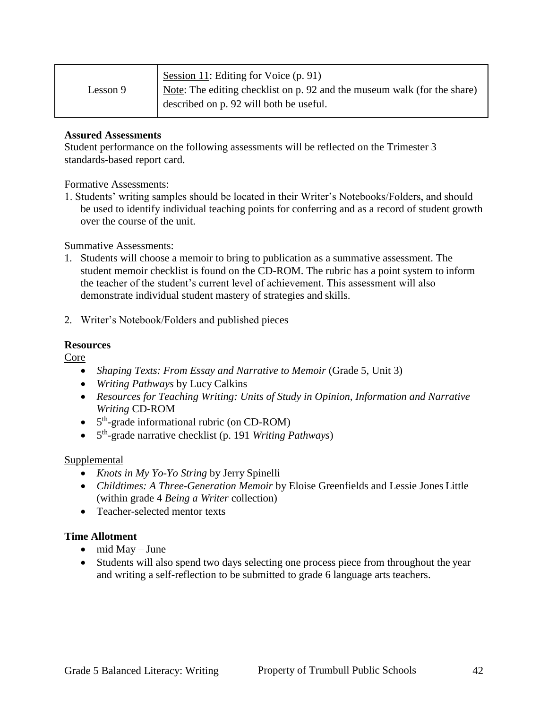|          | Session 11: Editing for Voice (p. 91)                                    |
|----------|--------------------------------------------------------------------------|
| Lesson 9 | Note: The editing checklist on p. 92 and the museum walk (for the share) |
|          | described on p. 92 will both be useful.                                  |

#### **Assured Assessments**

Student performance on the following assessments will be reflected on the Trimester 3 standards-based report card.

Formative Assessments:

1. Students' writing samples should be located in their Writer's Notebooks/Folders, and should be used to identify individual teaching points for conferring and as a record of student growth over the course of the unit.

Summative Assessments:

- 1. Students will choose a memoir to bring to publication as a summative assessment. The student memoir checklist is found on the CD-ROM. The rubric has a point system to inform the teacher of the student's current level of achievement. This assessment will also demonstrate individual student mastery of strategies and skills.
- 2. Writer's Notebook/Folders and published pieces

#### **Resources**

Core

- *Shaping Texts: From Essay and Narrative to Memoir* (Grade 5, Unit 3)
- *Writing Pathways* by Lucy Calkins
- *Resources for Teaching Writing: Units of Study in Opinion, Information and Narrative Writing* CD-ROM
- 5<sup>th</sup>-grade informational rubric (on CD-ROM)
- 5<sup>th</sup>-grade narrative checklist (p. 191 *Writing Pathways*)

#### Supplemental

- *Knots in My Yo-Yo String* by Jerry Spinelli
- *Childtimes: A Three-Generation Memoir* by Eloise Greenfields and Lessie Jones Little (within grade 4 *Being a Writer* collection)
- Teacher-selected mentor texts

#### **Time Allotment**

- $\bullet$  mid May June
- Students will also spend two days selecting one process piece from throughout the year and writing a self-reflection to be submitted to grade 6 language arts teachers.